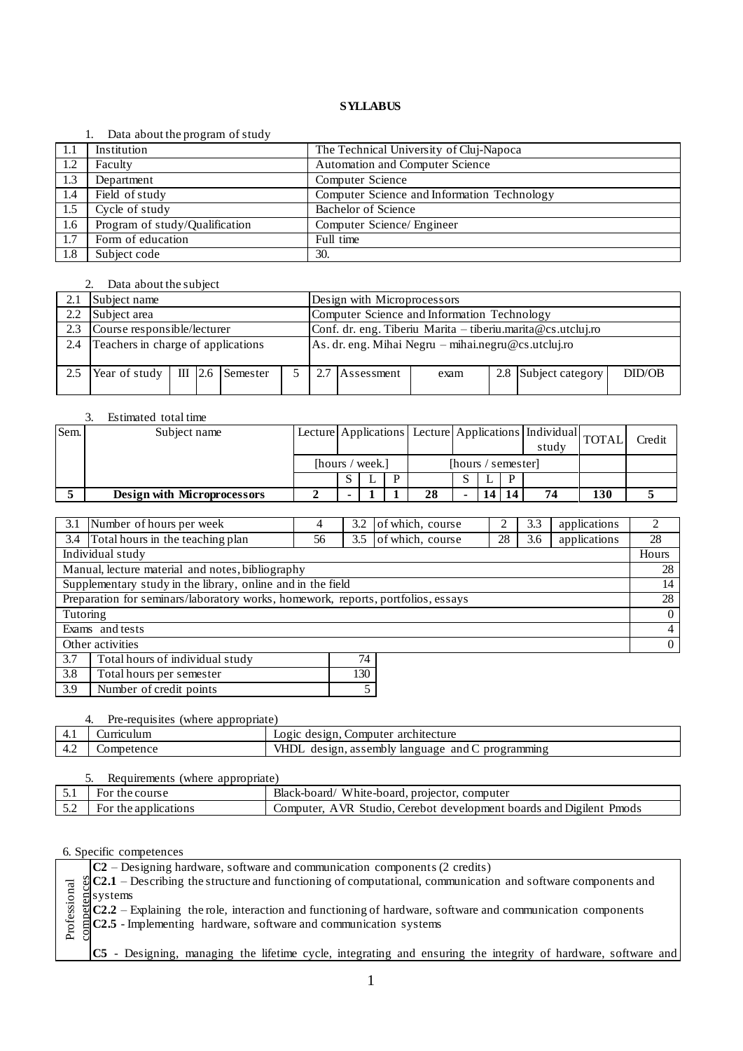#### 1. Data about the program of study

| -1.1 | Institution                    | The Technical University of Cluj-Napoca     |
|------|--------------------------------|---------------------------------------------|
| 1.2  | Faculty                        | <b>Automation and Computer Science</b>      |
| 1.3  | Department                     | Computer Science                            |
| 1.4  | Field of study                 | Computer Science and Information Technology |
| 1.5  | Cycle of study                 | Bachelor of Science                         |
| 1.6  | Program of study/Qualification | Computer Science/ Engineer                  |
| 1.7  | Form of education              | Full time                                   |
| 1.8  | Subject code                   | 30.                                         |

# 2. Data about the subject

|     | Subject name                       |  |  |                                                             |  | Design with Microprocessors                 |                                                             |      |  |                      |        |  |
|-----|------------------------------------|--|--|-------------------------------------------------------------|--|---------------------------------------------|-------------------------------------------------------------|------|--|----------------------|--------|--|
| 2.2 | Subject area                       |  |  |                                                             |  | Computer Science and Information Technology |                                                             |      |  |                      |        |  |
| 2.3 | Course responsible/lecturer        |  |  |                                                             |  |                                             | Conf. dr. eng. Tiberiu Marita – tiberiu marita@cs utcluj.ro |      |  |                      |        |  |
| 2.4 | Teachers in charge of applications |  |  | $\vert$ As. dr. eng. Mihai Negru – mihai.negru@cs.utcluj.ro |  |                                             |                                                             |      |  |                      |        |  |
|     | Year of study                      |  |  | $III$ 2.6 Semester                                          |  |                                             | Assessment                                                  | exam |  | 2.8 Subject category | DID/OB |  |

# 3. Estimated total time

| Sem. | Subject name                |                 |  |                    |    |  |  |   | Lecture Applications Lecture Applications   Individual TOTAL<br>study |     | Credit |
|------|-----------------------------|-----------------|--|--------------------|----|--|--|---|-----------------------------------------------------------------------|-----|--------|
|      |                             | [hours / week.] |  | [hours / semester] |    |  |  |   |                                                                       |     |        |
|      |                             |                 |  | D                  |    |  |  | D |                                                                       |     |        |
|      | Design with Microprocessors |                 |  |                    | 28 |  |  |   | 74                                                                    | 130 |        |

| 3.1      | Number of hours per week                                                         | 4  | 3.2 | of which, course |    | 3.3 | applications | 2              |
|----------|----------------------------------------------------------------------------------|----|-----|------------------|----|-----|--------------|----------------|
| 3.4      | Total hours in the teaching plan                                                 | 56 | 3.5 | of which, course | 28 | 3.6 | applications | 28             |
|          | Individual study                                                                 |    |     |                  |    |     |              | Hours          |
|          | Manual, lecture material and notes, bibliography                                 |    |     |                  |    |     |              | 28             |
|          | Supplementary study in the library, online and in the field                      |    |     |                  |    |     |              | 14             |
|          | Preparation for seminars/laboratory works, homework, reports, portfolios, essays |    |     |                  |    |     |              | 28             |
| Tutoring |                                                                                  |    |     |                  |    |     |              | $\overline{0}$ |
|          | Exams and tests                                                                  |    |     |                  |    |     |              | $\overline{4}$ |
|          | Other activities                                                                 |    |     |                  |    |     |              | $\overline{0}$ |
| 3.7      | Total hours of individual study                                                  |    | 74  |                  |    |     |              |                |
| 3.8      | Total hours per semester                                                         |    | 130 |                  |    |     |              |                |
| 3.9      | Number of credit points                                                          |    | 5   |                  |    |     |              |                |

| Pre-requisites (where appropriate) |                                                  |
|------------------------------------|--------------------------------------------------|
| Curriculum                         | Logic design, Computer architecture              |
| Competence                         | VHDL design, assembly language and C programming |

| Requirements (where appropriate) |                      |                                                                     |  |  |  |  |
|----------------------------------|----------------------|---------------------------------------------------------------------|--|--|--|--|
|                                  | For the course       | Black-board/ White-board, projector, computer                       |  |  |  |  |
|                                  | For the applications | Computer, AVR Studio, Cerebot development boards and Digilent Pmods |  |  |  |  |

|   | $ C2 - Designing hardware$ , software and communication components (2 credits)                                                                                                                                                                      |
|---|-----------------------------------------------------------------------------------------------------------------------------------------------------------------------------------------------------------------------------------------------------|
| ಸ | $\frac{\%}{\%}$ C2.1 – Describing the structure and functioning of computational, communication and software components and                                                                                                                         |
|   |                                                                                                                                                                                                                                                     |
|   | $\frac{1}{2}$<br>$\frac{1}{2}$ systems<br>$\frac{1}{2}$ C2.2 – Explaining the role, interaction and functioning of hardware, software and communication components<br>$\frac{1}{2}$ C2.5 - Implementing hardware, software and communication system |
|   |                                                                                                                                                                                                                                                     |
|   |                                                                                                                                                                                                                                                     |
|   | C5 - Designing, managing the lifetime cycle, integrating and ensuring the integrity of hardware, software and                                                                                                                                       |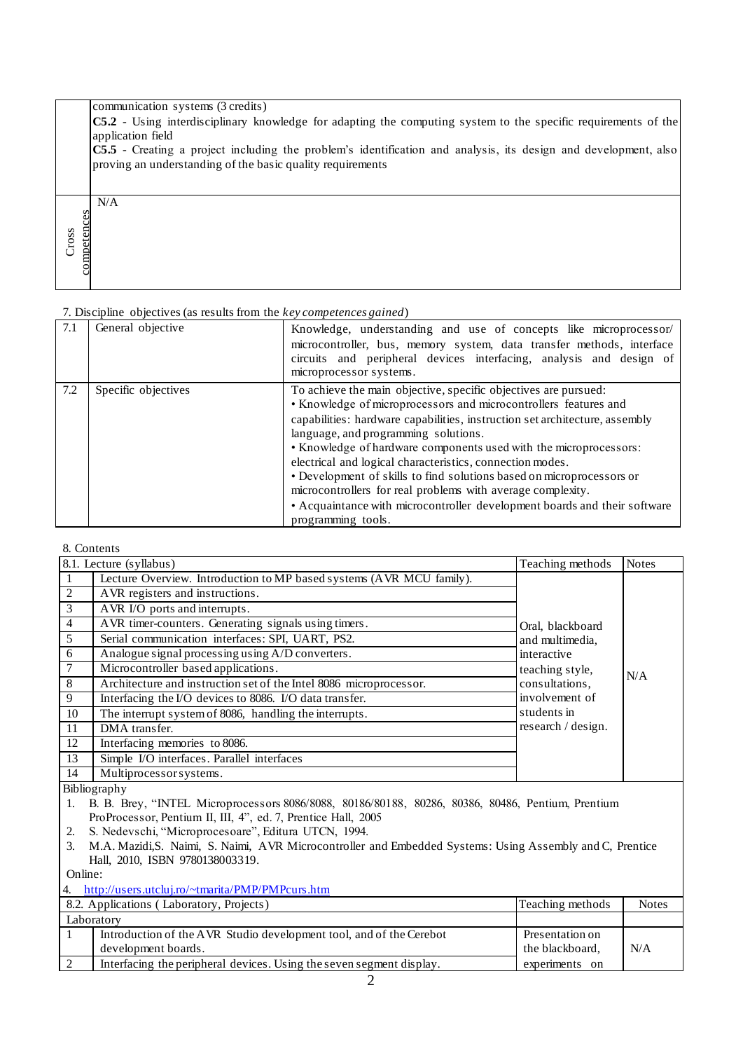|                      | communication systems (3 credits)<br>$CS.2$ - Using interdisciplinary knowledge for adapting the computing system to the specific requirements of the<br>application field<br><b>C5.5</b> - Creating a project including the problem's identification and analysis, its design and development, also |
|----------------------|------------------------------------------------------------------------------------------------------------------------------------------------------------------------------------------------------------------------------------------------------------------------------------------------------|
|                      | proving an understanding of the basic quality requirements<br>N/A                                                                                                                                                                                                                                    |
| competences<br>Cross |                                                                                                                                                                                                                                                                                                      |

|     | $\mu$ . Discipling concernes (as results from the $\kappa$ cy competences guinear) |                                                                                                                                                                                                                                                                                                                                                                                                                                                                                                                                                                                                                                         |  |  |  |  |  |
|-----|------------------------------------------------------------------------------------|-----------------------------------------------------------------------------------------------------------------------------------------------------------------------------------------------------------------------------------------------------------------------------------------------------------------------------------------------------------------------------------------------------------------------------------------------------------------------------------------------------------------------------------------------------------------------------------------------------------------------------------------|--|--|--|--|--|
| 7.1 | General objective                                                                  | Knowledge, understanding and use of concepts like microprocessor<br>microcontroller, bus, memory system, data transfer methods, interface<br>circuits and peripheral devices interfacing, analysis and design of<br>microprocessor systems.                                                                                                                                                                                                                                                                                                                                                                                             |  |  |  |  |  |
| 7.2 | Specific objectives                                                                | To achieve the main objective, specific objectives are pursued:<br>• Knowledge of microprocessors and microcontrollers features and<br>capabilities: hardware capabilities, instruction set architecture, assembly<br>language, and programming solutions.<br>• Knowledge of hardware components used with the microprocessors:<br>electrical and logical characteristics, connection modes.<br>• Development of skills to find solutions based on microprocessors or<br>microcontrollers for real problems with average complexity.<br>• Acquaintance with microcontroller development boards and their software<br>programming tools. |  |  |  |  |  |

#### 8. Contents

|                                                                      | Teaching methods                                                            | <b>Notes</b>     |
|----------------------------------------------------------------------|-----------------------------------------------------------------------------|------------------|
| Lecture Overview. Introduction to MP based systems (AVR MCU family). |                                                                             |                  |
| AVR registers and instructions.                                      |                                                                             |                  |
| AVR I/O ports and interrupts.                                        |                                                                             |                  |
| AVR timer-counters. Generating signals using timers.                 |                                                                             |                  |
|                                                                      | and multimedia,                                                             |                  |
| Analogue signal processing using A/D converters.                     | interactive                                                                 |                  |
| Microcontroller based applications.                                  | teaching style,                                                             | N/A              |
| Architecture and instruction set of the Intel 8086 microprocessor.   | consultations,                                                              |                  |
| Interfacing the I/O devices to 8086. I/O data transfer.              | involvement of                                                              |                  |
| The interrupt system of 8086, handling the interrupts.               | students in                                                                 |                  |
| DMA transfer.                                                        | research / design.                                                          |                  |
| Interfacing memories to 8086.                                        |                                                                             |                  |
| Simple I/O interfaces. Parallel interfaces                           |                                                                             |                  |
| Multiprocessor systems.                                              |                                                                             |                  |
|                                                                      | 8.1. Lecture (syllabus)<br>Serial communication interfaces: SPI, UART, PS2. | Oral, blackboard |

Bibliography

1. B. B. Brey, "INTEL Microprocessors 8086/8088, 80186/80188, 80286, 80386, 80486, Pentium, Prentium ProProcessor, Pentium II, III, 4", ed. 7, Prentice Hall, 2005

- 2. S. Nedevschi, "Microprocesoare", Editura UTCN, 1994.
- 3. M.A. Mazidi,S. Naimi, S. Naimi, AVR Microcontroller and Embedded Systems: Using Assembly and C, Prentice Hall, 2010, ISBN 9780138003319.

Online:

4. <http://users.utcluj.ro/~tmarita/PMP/PMPcurs.htm>

|            | 8.2. Applications (Laboratory, Projects)                             | Teaching methods | <b>Notes</b> |
|------------|----------------------------------------------------------------------|------------------|--------------|
| Laboratory |                                                                      |                  |              |
|            | Introduction of the AVR Studio development tool, and of the Cerebot  | Presentation on  |              |
|            | development boards.                                                  | the blackboard,  | N/A          |
|            | Interfacing the peripheral devices. Using the seven segment display. | experiments on   |              |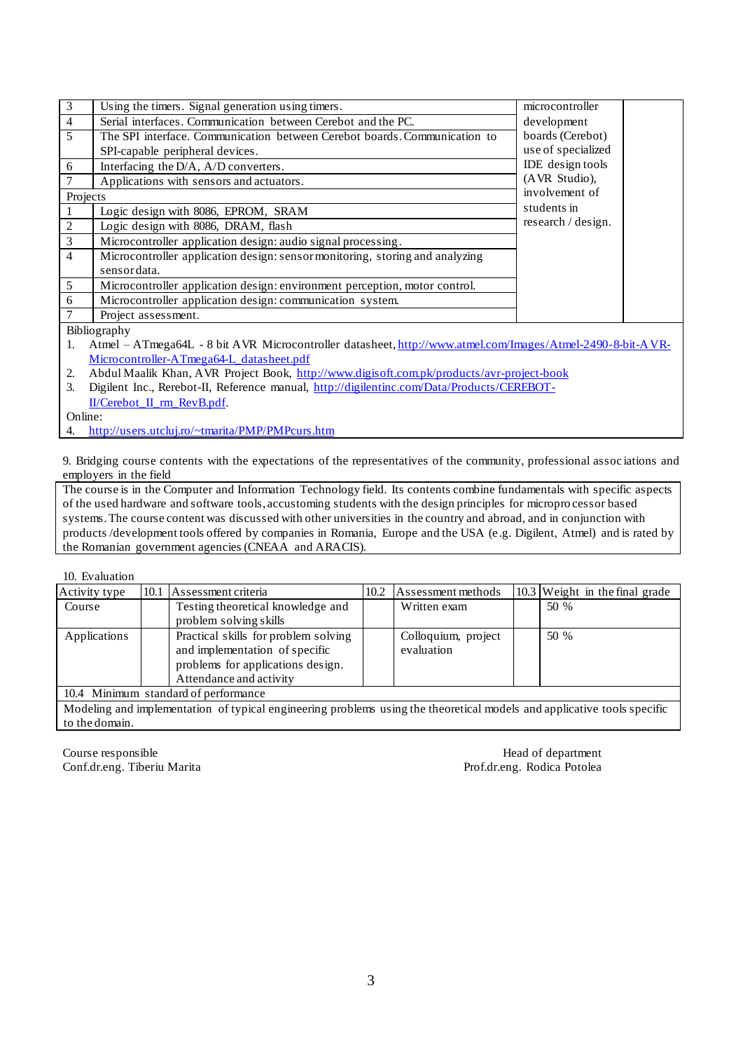| 3              | Using the timers. Signal generation using timers.                            | microcontroller    |
|----------------|------------------------------------------------------------------------------|--------------------|
| $\overline{4}$ | Serial interfaces. Communication between Cerebot and the PC.                 | development        |
| 5              | The SPI interface. Communication between Cerebot boards. Communication to    | boards (Cerebot)   |
|                | SPI-capable peripheral devices.                                              | use of specialized |
| 6              | Interfacing the D/A, A/D converters.                                         | IDE design tools   |
|                | Applications with sensors and actuators.                                     | (AVR Studio),      |
| Projects       |                                                                              | involvement of     |
|                | Logic design with 8086, EPROM, SRAM                                          | students in        |
| 2              | Logic design with 8086, DRAM, flash                                          | research / design. |
| 3              | Microcontroller application design: audio signal processing.                 |                    |
| $\overline{4}$ | Microcontroller application design: sensor monitoring, storing and analyzing |                    |
|                | sensordata.                                                                  |                    |
| 5              | Microcontroller application design: environment perception, motor control.   |                    |
| 6              | Microcontroller application design: communication system.                    |                    |
| 7              | Project assessment.                                                          |                    |

Bibliography

- 1. Atmel ATmega64L 8 bit AVR Microcontroller datasheet[, http://www.atmel.com/Images/Atmel-2490-8-bit-AVR-](http://www.atmel.com/Images/Atmel-2490-8-bit-AVR-Microcontroller-ATmega64-L_datasheet.pdf)[Microcontroller-ATmega64-L\\_datasheet.pdf](http://www.atmel.com/Images/Atmel-2490-8-bit-AVR-Microcontroller-ATmega64-L_datasheet.pdf)
- 2. Abdul Maalik Khan, AVR Project Book,<http://www.digisoft.com.pk/products/avr-project-book>
- 3. Digilent Inc., Rerebot-II, Reference manual, [http://digilentinc.com/Data/Products/CEREBOT-](http://digilentinc.com/Data/Products/CEREBOT-II/Cerebot_II_rm_RevB.pdf)[II/Cerebot\\_II\\_rm\\_RevB.pdf.](http://digilentinc.com/Data/Products/CEREBOT-II/Cerebot_II_rm_RevB.pdf)

Online:

4. <http://users.utcluj.ro/~tmarita/PMP/PMPcurs.htm>

9. Bridging course contents with the expectations of the representatives of the community, professional assoc iations and employers in the field

The course is in the Computer and Information Technology field. Its contents combine fundamentals with specific aspects of the used hardware and software tools, accustoming students with the design principles for micropro cessor based systems. The course content was discussed with other universities in the country and abroad, and in conjunction with products /development tools offered by companies in Romania, Europe and the USA (e .g. Digilent, Atmel) and is rated by the Romanian government agencies (CNEAA and ARACIS).

10. Evaluation

| Activity type                        |  | 10.1 Assessment criteria                                                                                                               | 10.2 | Assessment methods                |  | $10.3$ Weight in the final grade |
|--------------------------------------|--|----------------------------------------------------------------------------------------------------------------------------------------|------|-----------------------------------|--|----------------------------------|
| Course                               |  | Testing theoretical knowledge and<br>problem solving skills                                                                            |      | Written exam                      |  | 50 %                             |
| Applications                         |  | Practical skills for problem solving<br>and implementation of specific<br>problems for applications design.<br>Attendance and activity |      | Colloquium, project<br>evaluation |  | 50 %                             |
| 10.4 Minimum standard of performance |  |                                                                                                                                        |      |                                   |  |                                  |

Modeling and implementation of typical engineering problems using the theoretical models and applicative tools specific to the domain.

Course responsible Head of department Conf.dr.eng. Tiberiu Marita Prof.dr.eng. Rodica Potolea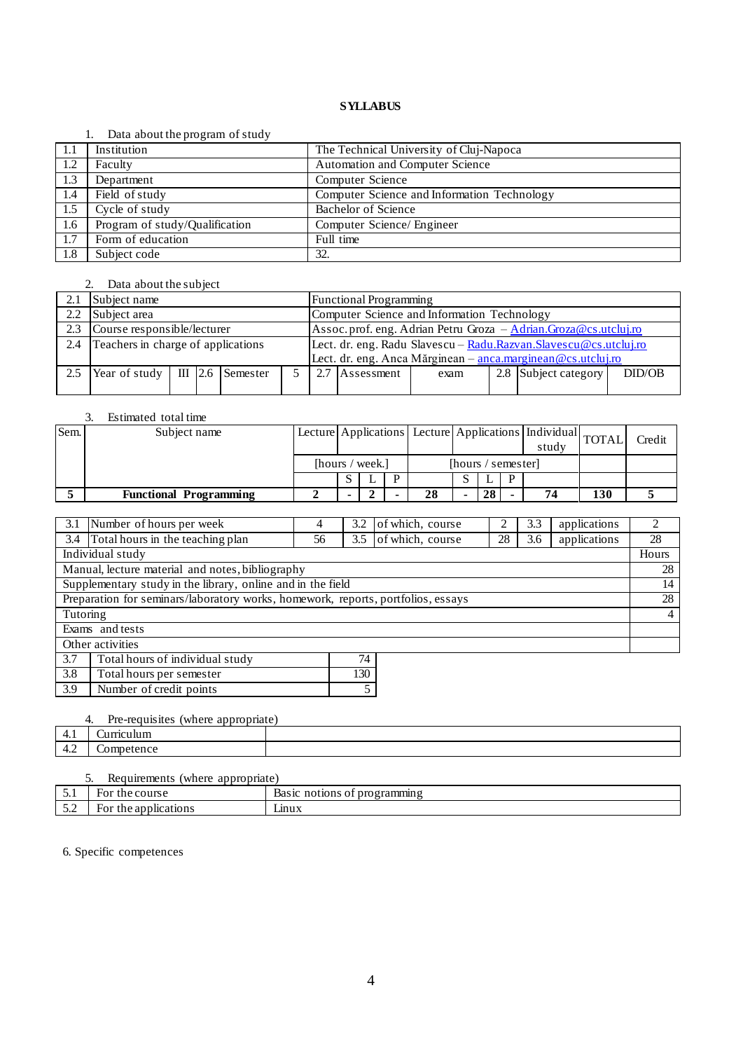#### 1. Data about the program of study

|      | $2.444$ $-0.644$ $-0.644$ $-0.644$ $-0.644$ |                                             |
|------|---------------------------------------------|---------------------------------------------|
| -1.1 | Institution                                 | The Technical University of Cluj-Napoca     |
| 1.2  | Faculty                                     | Automation and Computer Science             |
| 1.3  | Department                                  | Computer Science                            |
| 1.4  | Field of study                              | Computer Science and Information Technology |
| 1.5  | $\overline{\text{Cycle}}$ of study          | <b>Bachelor of Science</b>                  |
| 1.6  | Program of study/Qualification              | Computer Science/ Engineer                  |
| 1.7  | Form of education                           | Full time                                   |
| 1.8  | Subject code                                | 32.                                         |

#### 2. Data about the subject

| 2.1 | Subject name                       |  |  |                              |                                                                  | <b>Functional Programming</b>                                     |            |      |  |                      |        |
|-----|------------------------------------|--|--|------------------------------|------------------------------------------------------------------|-------------------------------------------------------------------|------------|------|--|----------------------|--------|
| 2.2 | Subject area                       |  |  |                              |                                                                  | Computer Science and Information Technology                       |            |      |  |                      |        |
| 2.3 | Course responsible/lecturer        |  |  |                              |                                                                  | Assoc. prof. eng. Adrian Petru Groza - Adrian. Groza@cs.utcluj.ro |            |      |  |                      |        |
| 2.4 | Teachers in charge of applications |  |  |                              | Lect. dr. eng. Radu Slavescu - Radu.Razvan.Slavescu@cs.utcluj.ro |                                                                   |            |      |  |                      |        |
|     |                                    |  |  |                              |                                                                  | Lect. dr. eng. Anca Mărginean - anca.marginean@cs.utcluj.ro       |            |      |  |                      |        |
| 2.5 | Year of study                      |  |  | $\parallel$ III 2.6 Semester |                                                                  |                                                                   | Assessment | exam |  | 2.8 Subject category | DID/OB |
|     |                                    |  |  |                              |                                                                  |                                                                   |            |      |  |                      |        |

# 3. Estimated total time

| Sem. | Subject name                  |                 |  |  |                    |    |  |    |   | Lecture Applications Lecture Applications   Individual   TOTAL<br>study |     | Credit |
|------|-------------------------------|-----------------|--|--|--------------------|----|--|----|---|-------------------------------------------------------------------------|-----|--------|
|      |                               | [hours / week.] |  |  | [hours / semester] |    |  |    |   |                                                                         |     |        |
|      |                               |                 |  |  |                    |    |  |    | D |                                                                         |     |        |
|      | <b>Functional Programming</b> |                 |  |  |                    | 28 |  | 28 |   |                                                                         | 130 |        |

| 3.1                                                                              | Number of hours per week                                                                       | 4 | 3.2 | of which, course |  | 3.3 | applications | $\mathfrak{D}$ |
|----------------------------------------------------------------------------------|------------------------------------------------------------------------------------------------|---|-----|------------------|--|-----|--------------|----------------|
| 3.4                                                                              | Total hours in the teaching plan<br>of which, course<br>28<br>applications<br>3.5<br>3.6<br>56 |   |     |                  |  |     | 28           |                |
|                                                                                  | Individual study                                                                               |   |     |                  |  |     |              | Hours          |
|                                                                                  | Manual, lecture material and notes, bibliography                                               |   |     |                  |  |     |              | 28             |
|                                                                                  | Supplementary study in the library, online and in the field                                    |   |     |                  |  |     |              | 14             |
| Preparation for seminars/laboratory works, homework, reports, portfolios, essays |                                                                                                |   |     |                  |  |     | 28           |                |
| Tutoring                                                                         |                                                                                                |   |     |                  |  |     |              | $\overline{4}$ |
|                                                                                  | Exams and tests                                                                                |   |     |                  |  |     |              |                |
|                                                                                  | Other activities                                                                               |   |     |                  |  |     |              |                |
| 3.7                                                                              | Total hours of individual study<br>74                                                          |   |     |                  |  |     |              |                |
| 3.8                                                                              | 130<br>Total hours per semester                                                                |   |     |                  |  |     |              |                |
| 3.9                                                                              | Number of credit points<br>5                                                                   |   |     |                  |  |     |              |                |

# 4. Pre-requisites (where appropriate) 4.1 Curriculum 4.2 Competence

|        | Requirements (where appropriate) |                              |  |  |  |  |  |  |
|--------|----------------------------------|------------------------------|--|--|--|--|--|--|
| ◡.     | For the course                   | Basic notions of programming |  |  |  |  |  |  |
| $\cup$ | For the applications             | hnux                         |  |  |  |  |  |  |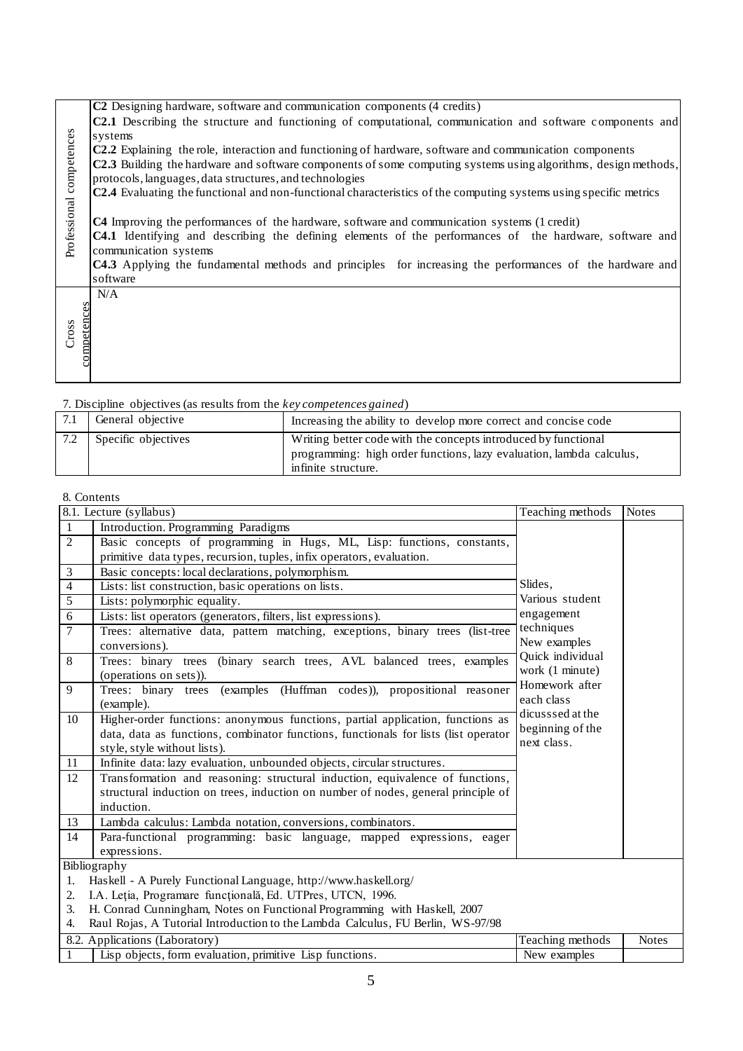|                          | C2 Designing hardware, software and communication components (4 credits)                                              |
|--------------------------|-----------------------------------------------------------------------------------------------------------------------|
|                          | <b>C2.1</b> Describing the structure and functioning of computational, communication and software components and      |
|                          | systems                                                                                                               |
|                          | C2.2 Explaining the role, interaction and functioning of hardware, software and communication components              |
|                          | <b>C2.3</b> Building the hardware and software components of some computing systems using algorithms, design methods, |
|                          | protocols, languages, data structures, and technologies                                                               |
|                          | C2.4 Evaluating the functional and non-functional characteristics of the computing systems using specific metrics     |
| Professional competences |                                                                                                                       |
|                          | C4 Improving the performances of the hardware, software and communication systems (1 credit)                          |
|                          | <b>C4.1</b> Identifying and describing the defining elements of the performances of the hardware, software and        |
|                          | communication systems                                                                                                 |
|                          | C4.3 Applying the fundamental methods and principles for increasing the performances of the hardware and              |
|                          | software                                                                                                              |
|                          | N/A                                                                                                                   |
|                          |                                                                                                                       |
| competences<br>Cross     |                                                                                                                       |
|                          |                                                                                                                       |
|                          |                                                                                                                       |
|                          |                                                                                                                       |

| $\sim$ 2.0 $\sim$ 10 $\sim$ 10 $\sim$ 100 $\sim$ 100 $\sim$ 100 0.100 $\sim$ 100 $\sim$ 100 $\sim$ 100 $\sim$ 100 $\sim$ 100 $\sim$ 100 $\sim$ |                                                                                                                                                               |  |  |  |  |  |
|------------------------------------------------------------------------------------------------------------------------------------------------|---------------------------------------------------------------------------------------------------------------------------------------------------------------|--|--|--|--|--|
| General objective                                                                                                                              | Increasing the ability to develop more correct and concise code                                                                                               |  |  |  |  |  |
| Specific objectives                                                                                                                            | Writing better code with the concepts introduced by functional<br>programming: high order functions, lazy evaluation, lambda calculus,<br>infinite structure. |  |  |  |  |  |
|                                                                                                                                                |                                                                                                                                                               |  |  |  |  |  |

### 8. Contents

| Professional competences | systems<br>C2.2 Explaining the role, interaction and functioning of hardware, software and communication components<br>C2.3 Building the hardware and software components of some computing systems using algorithms, design methods,<br>protocols, languages, data structures, and technologies<br>C2.4 Evaluating the functional and non-functional characteristics of the computing systems using specific metrics<br>C4 Improving the performances of the hardware, software and communication systems (1 credit)<br>C4.1 Identifying and describing the defining elements of the performances of the hardware, software and<br>communication systems<br>C4.3 Applying the fundamental methods and principles for increasing the performances of the hardware and<br>software |                                                                                     |                                     |              |  |  |  |
|--------------------------|-----------------------------------------------------------------------------------------------------------------------------------------------------------------------------------------------------------------------------------------------------------------------------------------------------------------------------------------------------------------------------------------------------------------------------------------------------------------------------------------------------------------------------------------------------------------------------------------------------------------------------------------------------------------------------------------------------------------------------------------------------------------------------------|-------------------------------------------------------------------------------------|-------------------------------------|--------------|--|--|--|
| competences<br>Cross     | N/A                                                                                                                                                                                                                                                                                                                                                                                                                                                                                                                                                                                                                                                                                                                                                                               |                                                                                     |                                     |              |  |  |  |
|                          | 7. Discipline objectives (as results from the key competences gained)                                                                                                                                                                                                                                                                                                                                                                                                                                                                                                                                                                                                                                                                                                             |                                                                                     |                                     |              |  |  |  |
| 7.1                      | General objective                                                                                                                                                                                                                                                                                                                                                                                                                                                                                                                                                                                                                                                                                                                                                                 | Increasing the ability to develop more correct and concise code                     |                                     |              |  |  |  |
| 7.2                      | Specific objectives                                                                                                                                                                                                                                                                                                                                                                                                                                                                                                                                                                                                                                                                                                                                                               | Writing better code with the concepts introduced by functional                      |                                     |              |  |  |  |
|                          |                                                                                                                                                                                                                                                                                                                                                                                                                                                                                                                                                                                                                                                                                                                                                                                   | programming: high order functions, lazy evaluation, lambda calculus,                |                                     |              |  |  |  |
|                          |                                                                                                                                                                                                                                                                                                                                                                                                                                                                                                                                                                                                                                                                                                                                                                                   | infinite structure.                                                                 |                                     |              |  |  |  |
|                          |                                                                                                                                                                                                                                                                                                                                                                                                                                                                                                                                                                                                                                                                                                                                                                                   |                                                                                     |                                     |              |  |  |  |
| 8. Contents              | 8.1. Lecture (syllabus)                                                                                                                                                                                                                                                                                                                                                                                                                                                                                                                                                                                                                                                                                                                                                           |                                                                                     | Teaching methods                    | <b>Notes</b> |  |  |  |
| $\mathbf{1}$             | Introduction. Programming Paradigms                                                                                                                                                                                                                                                                                                                                                                                                                                                                                                                                                                                                                                                                                                                                               |                                                                                     |                                     |              |  |  |  |
| $\overline{2}$           |                                                                                                                                                                                                                                                                                                                                                                                                                                                                                                                                                                                                                                                                                                                                                                                   | Basic concepts of programming in Hugs, ML, Lisp: functions, constants,              |                                     |              |  |  |  |
|                          | primitive data types, recursion, tuples, infix operators, evaluation.                                                                                                                                                                                                                                                                                                                                                                                                                                                                                                                                                                                                                                                                                                             |                                                                                     |                                     |              |  |  |  |
| 3                        | Basic concepts: local declarations, polymorphism.                                                                                                                                                                                                                                                                                                                                                                                                                                                                                                                                                                                                                                                                                                                                 |                                                                                     |                                     |              |  |  |  |
| $\overline{4}$           | Lists: list construction, basic operations on lists.                                                                                                                                                                                                                                                                                                                                                                                                                                                                                                                                                                                                                                                                                                                              |                                                                                     | Slides,                             |              |  |  |  |
| 5                        | Lists: polymorphic equality.                                                                                                                                                                                                                                                                                                                                                                                                                                                                                                                                                                                                                                                                                                                                                      |                                                                                     | Various student                     |              |  |  |  |
| 6                        | Lists: list operators (generators, filters, list expressions).                                                                                                                                                                                                                                                                                                                                                                                                                                                                                                                                                                                                                                                                                                                    |                                                                                     | engagement                          |              |  |  |  |
| $\tau$                   |                                                                                                                                                                                                                                                                                                                                                                                                                                                                                                                                                                                                                                                                                                                                                                                   | Trees: alternative data, pattern matching, exceptions, binary trees (list-tree      | techniques                          |              |  |  |  |
|                          | conversions).                                                                                                                                                                                                                                                                                                                                                                                                                                                                                                                                                                                                                                                                                                                                                                     |                                                                                     | New examples                        |              |  |  |  |
| 8                        | (operations on sets)).                                                                                                                                                                                                                                                                                                                                                                                                                                                                                                                                                                                                                                                                                                                                                            | Trees: binary trees (binary search trees, AVL balanced trees, examples              | Quick individual<br>work (1 minute) |              |  |  |  |
| 9                        | (example).                                                                                                                                                                                                                                                                                                                                                                                                                                                                                                                                                                                                                                                                                                                                                                        | Trees: binary trees (examples (Huffman codes)), propositional reasoner              | Homework after<br>each class        |              |  |  |  |
| 10                       |                                                                                                                                                                                                                                                                                                                                                                                                                                                                                                                                                                                                                                                                                                                                                                                   | Higher-order functions: anonymous functions, partial application, functions as      | dicusssed at the                    |              |  |  |  |
|                          |                                                                                                                                                                                                                                                                                                                                                                                                                                                                                                                                                                                                                                                                                                                                                                                   | data, data as functions, combinator functions, functionals for lists (list operator | beginning of the                    |              |  |  |  |
|                          | style, style without lists).                                                                                                                                                                                                                                                                                                                                                                                                                                                                                                                                                                                                                                                                                                                                                      |                                                                                     | next class.                         |              |  |  |  |
| 11                       | Infinite data: lazy evaluation, unbounded objects, circular structures.                                                                                                                                                                                                                                                                                                                                                                                                                                                                                                                                                                                                                                                                                                           |                                                                                     |                                     |              |  |  |  |
| 12                       |                                                                                                                                                                                                                                                                                                                                                                                                                                                                                                                                                                                                                                                                                                                                                                                   | Transformation and reasoning: structural induction, equivalence of functions,       |                                     |              |  |  |  |
|                          | structural induction on trees, induction on number of nodes, general principle of                                                                                                                                                                                                                                                                                                                                                                                                                                                                                                                                                                                                                                                                                                 |                                                                                     |                                     |              |  |  |  |
|                          | induction.                                                                                                                                                                                                                                                                                                                                                                                                                                                                                                                                                                                                                                                                                                                                                                        |                                                                                     |                                     |              |  |  |  |
| 13<br>14                 | Lambda calculus: Lambda notation, conversions, combinators.<br>Para-functional programming: basic language, mapped expressions, eager                                                                                                                                                                                                                                                                                                                                                                                                                                                                                                                                                                                                                                             |                                                                                     |                                     |              |  |  |  |
|                          | expressions.                                                                                                                                                                                                                                                                                                                                                                                                                                                                                                                                                                                                                                                                                                                                                                      |                                                                                     |                                     |              |  |  |  |
|                          | Bibliography                                                                                                                                                                                                                                                                                                                                                                                                                                                                                                                                                                                                                                                                                                                                                                      |                                                                                     |                                     |              |  |  |  |
| 1.                       | Haskell - A Purely Functional Language, http://www.haskell.org/                                                                                                                                                                                                                                                                                                                                                                                                                                                                                                                                                                                                                                                                                                                   |                                                                                     |                                     |              |  |  |  |
| 2.                       | I.A. Leția, Programare funcțională, Ed. UTPres, UTCN, 1996.                                                                                                                                                                                                                                                                                                                                                                                                                                                                                                                                                                                                                                                                                                                       |                                                                                     |                                     |              |  |  |  |
| 3.                       | H. Conrad Cunningham, Notes on Functional Programming with Haskell, 2007                                                                                                                                                                                                                                                                                                                                                                                                                                                                                                                                                                                                                                                                                                          |                                                                                     |                                     |              |  |  |  |
| 4.                       |                                                                                                                                                                                                                                                                                                                                                                                                                                                                                                                                                                                                                                                                                                                                                                                   | Raul Rojas, A Tutorial Introduction to the Lambda Calculus, FU Berlin, WS-97/98     |                                     |              |  |  |  |
|                          | 8.2. Applications (Laboratory)                                                                                                                                                                                                                                                                                                                                                                                                                                                                                                                                                                                                                                                                                                                                                    |                                                                                     | Teaching methods                    | <b>Notes</b> |  |  |  |
| 1                        | Lisp objects, form evaluation, primitive Lisp functions.<br>New examples                                                                                                                                                                                                                                                                                                                                                                                                                                                                                                                                                                                                                                                                                                          |                                                                                     |                                     |              |  |  |  |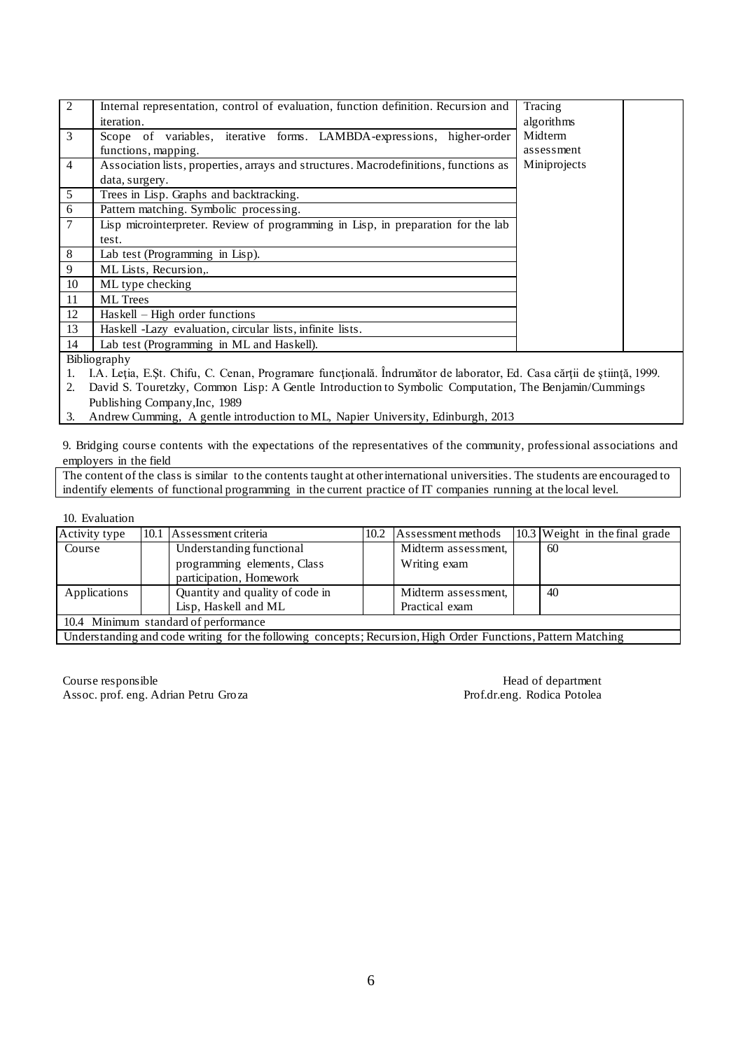| 2              | Internal representation, control of evaluation, function definition. Recursion and   |              |  |  |  |
|----------------|--------------------------------------------------------------------------------------|--------------|--|--|--|
|                |                                                                                      | Tracing      |  |  |  |
|                | iteration.                                                                           | algorithms   |  |  |  |
| 3              | Scope of variables, iterative forms. LAMBDA-expressions, higher-order                | Midterm      |  |  |  |
|                | functions, mapping.                                                                  | assessment   |  |  |  |
| $\overline{4}$ | Association lists, properties, arrays and structures. Macrodefinitions, functions as | Miniprojects |  |  |  |
|                | data, surgery.                                                                       |              |  |  |  |
| 5              | Trees in Lisp. Graphs and backtracking.                                              |              |  |  |  |
| 6              | Pattern matching. Symbolic processing.                                               |              |  |  |  |
| $\overline{7}$ | Lisp microinterpreter. Review of programming in Lisp, in preparation for the lab     |              |  |  |  |
|                | test.                                                                                |              |  |  |  |
| 8              | Lab test (Programming in Lisp).                                                      |              |  |  |  |
| 9              | ML Lists, Recursion,.                                                                |              |  |  |  |
| 10             | ML type checking                                                                     |              |  |  |  |
| 11             | <b>ML</b> Trees                                                                      |              |  |  |  |
| 12             | Haskell – High order functions                                                       |              |  |  |  |
| 13             | Haskell -Lazy evaluation, circular lists, infinite lists.                            |              |  |  |  |
| 14             | Lab test (Programming in ML and Haskell).                                            |              |  |  |  |

Bibliography

1. I.A. Leţia, E.Şt. Chifu, C. Cenan, Programare funcţională. Îndrumător de laborator, Ed. Casa cărţii de ştiinţă, 1999.

2. David S. Touretzky, Common Lisp: A Gentle Introduction to Symbolic Computation, The Benjamin/Cummings Publishing Company,Inc, 1989

3. Andrew Cumming, A gentle introduction to ML, Napier University, Edinburgh, 2013

9. Bridging course contents with the expectations of the representatives of the community, professional associations and employers in the field

The content of the class is similar to the contents taught at other international universities. The students are encouraged to indentify elements of functional programming in the current practice of IT companies running at the local level.

#### 10. Evaluation

| Activity type                        |                                                                                                                 | 10.1 Assessment criteria        | 10.2 | Assessment methods  |  | $10.3$ Weight in the final grade |  |
|--------------------------------------|-----------------------------------------------------------------------------------------------------------------|---------------------------------|------|---------------------|--|----------------------------------|--|
| Course                               |                                                                                                                 | Understanding functional        |      | Midterm assessment. |  | 60                               |  |
|                                      |                                                                                                                 | programming elements, Class     |      | Writing exam        |  |                                  |  |
|                                      |                                                                                                                 | participation, Homework         |      |                     |  |                                  |  |
| Applications                         |                                                                                                                 | Quantity and quality of code in |      | Midterm assessment, |  | 40                               |  |
|                                      |                                                                                                                 | Lisp, Haskell and ML            |      | Practical exam      |  |                                  |  |
| 10.4 Minimum standard of performance |                                                                                                                 |                                 |      |                     |  |                                  |  |
|                                      | $\mathbf{H}^{\dagger}$ is the state of $\mathbf{H}$ in the $\mathbf{H}$ in the $\mathbf{H}$ in the $\mathbf{H}$ |                                 |      |                     |  |                                  |  |

Understanding and code writing for the following concepts; Recursion, High Order Functions, Pattern Matching

Course responsible<br>
Assoc. prof. eng. Adrian Petru Groza<br>
Prof.dr.eng. Rodica Potolea Assoc. prof. eng. Adrian Petru Groza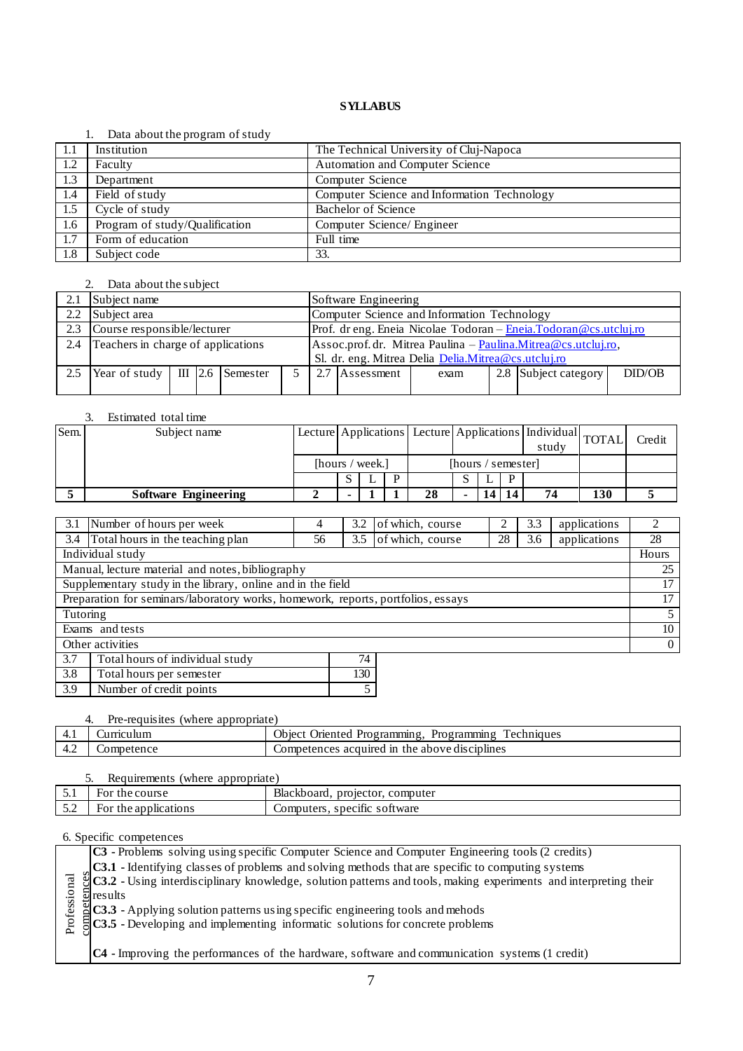#### 1. Data about the program of study

|      | $\sim$ and about the program of beau |                                             |
|------|--------------------------------------|---------------------------------------------|
| -1.1 | Institution                          | The Technical University of Cluj-Napoca     |
| 1.2  | Faculty                              | Automation and Computer Science             |
| 1.3  | Department                           | Computer Science                            |
| 1.4  | Field of study                       | Computer Science and Information Technology |
| 1.5  | Cycle of study                       | Bachelor of Science                         |
| 1.6  | Program of study/Qualification       | Computer Science/ Engineer                  |
| 1.7  | Form of education                    | Full time                                   |
| 1.8  | Subject code                         | 33.                                         |

# 2. Data about the subject

| 2.1           | Subject name                               |  |  |  | Software Engineering                        |                                                              |                                                                    |                                                     |  |                      |        |  |
|---------------|--------------------------------------------|--|--|--|---------------------------------------------|--------------------------------------------------------------|--------------------------------------------------------------------|-----------------------------------------------------|--|----------------------|--------|--|
| $2.2^{\circ}$ | Subject area                               |  |  |  | Computer Science and Information Technology |                                                              |                                                                    |                                                     |  |                      |        |  |
| 2.3           | Course responsible/lecturer                |  |  |  |                                             |                                                              | Prof. dr eng. Eneia Nicolae Todoran - Eneia. Todoran @cs.utcluj.ro |                                                     |  |                      |        |  |
| 2.4           | Teachers in charge of applications         |  |  |  |                                             | Assoc.prof.dr. Mitrea Paulina - Paulina.Mitrea@cs.utcluj.ro, |                                                                    |                                                     |  |                      |        |  |
|               |                                            |  |  |  |                                             |                                                              |                                                                    | Sl. dr. eng. Mitrea Delia Delia.Mitrea@cs.utcluj.ro |  |                      |        |  |
| 2.5           | Year of study $\parallel$ III 2.6 Semester |  |  |  |                                             |                                                              | Assessment                                                         | exam                                                |  | 2.8 Subject category | DID/OB |  |
|               |                                            |  |  |  |                                             |                                                              |                                                                    |                                                     |  |                      |        |  |

# 3. Estimated total time

| Sem. | Subject name                | Lecture Applications Lecture Applications   Individual TOTAL |  |                    |    | study |  | Credit |    |     |  |
|------|-----------------------------|--------------------------------------------------------------|--|--------------------|----|-------|--|--------|----|-----|--|
|      |                             | [hours / week.]                                              |  | [hours / semester] |    |       |  |        |    |     |  |
|      |                             |                                                              |  | D                  |    |       |  | D      |    |     |  |
|      | <b>Software Engineering</b> |                                                              |  |                    | 28 |       |  |        | 74 | 130 |  |

|                                        | 3.1 Number of hours per week                                                     | 4  | 3.2 | of which, course |    | 3.3 | applications   | 2     |
|----------------------------------------|----------------------------------------------------------------------------------|----|-----|------------------|----|-----|----------------|-------|
| 3.4                                    | Total hours in the teaching plan                                                 | 56 | 3.5 | of which, course | 28 | 3.6 | applications   | 28    |
|                                        | Individual study                                                                 |    |     |                  |    |     |                | Hours |
|                                        | Manual, lecture material and notes, bibliography                                 |    |     |                  |    |     |                | 25    |
|                                        | Supplementary study in the library, online and in the field                      |    |     |                  |    |     |                | 17    |
|                                        | Preparation for seminars/laboratory works, homework, reports, portfolios, essays |    |     |                  |    |     |                | 17    |
| Tutoring                               |                                                                                  |    |     |                  |    |     |                | 5     |
|                                        | Exams and tests                                                                  |    |     |                  |    |     |                | 10    |
| Other activities                       |                                                                                  |    |     |                  |    |     | $\overline{0}$ |       |
| 3.7                                    | Total hours of individual study                                                  |    | 74  |                  |    |     |                |       |
| 3.8<br>130<br>Total hours per semester |                                                                                  |    |     |                  |    |     |                |       |
|                                        |                                                                                  |    |     |                  |    |     |                |       |

|  | Number of credit points               |  |
|--|---------------------------------------|--|
|  |                                       |  |
|  | 4. Pre-requisites (where appropriate) |  |

| - 4<br>$T_{\rm t}$ | ıcu lur         | Obiect<br><b>Programming</b><br>. Programmin≏<br>'echniques<br><b>Juented</b> |
|--------------------|-----------------|-------------------------------------------------------------------------------|
| $\sim$<br>т.∠      | netence<br>COMI | I in the above disciplines<br>acquired<br>Competences                         |
|                    |                 |                                                                               |

| Requirements (where appropriate) |                      |                                 |  |  |  |  |
|----------------------------------|----------------------|---------------------------------|--|--|--|--|
| ◡.                               | For the course       | Blackboard, projector, computer |  |  |  |  |
| ن د                              | For the applications | Computers, specific software    |  |  |  |  |

| <b>C3</b> - Problems solving using specific Computer Science and Computer Engineering tools (2 credits)                                                                                                                                                                                                                                                                                                                               |
|---------------------------------------------------------------------------------------------------------------------------------------------------------------------------------------------------------------------------------------------------------------------------------------------------------------------------------------------------------------------------------------------------------------------------------------|
|                                                                                                                                                                                                                                                                                                                                                                                                                                       |
| C3.1 - Identifying classes of problems and solving methods that are specific to computing systems<br>$\begin{array}{l}\n\hline\n\text{g} \\ \text{C3.2 - Using interdisciplinary knowledge, solution patterns and tools, making experiments and interpreting their results\n\end{array}$<br>$\begin{array}{l}\n\hline\n\text{g} \\ \text{g} \\ \text{m} \\ \text{h} \\ \text{h} \\ \text{h} \\ \text{h} \\ \text{h} \\ \text{h} \\ \$ |
|                                                                                                                                                                                                                                                                                                                                                                                                                                       |
|                                                                                                                                                                                                                                                                                                                                                                                                                                       |
|                                                                                                                                                                                                                                                                                                                                                                                                                                       |
|                                                                                                                                                                                                                                                                                                                                                                                                                                       |
| $ C4$ - Improving the performances of the hardware, software and communication systems $(1 \text{ credit})$                                                                                                                                                                                                                                                                                                                           |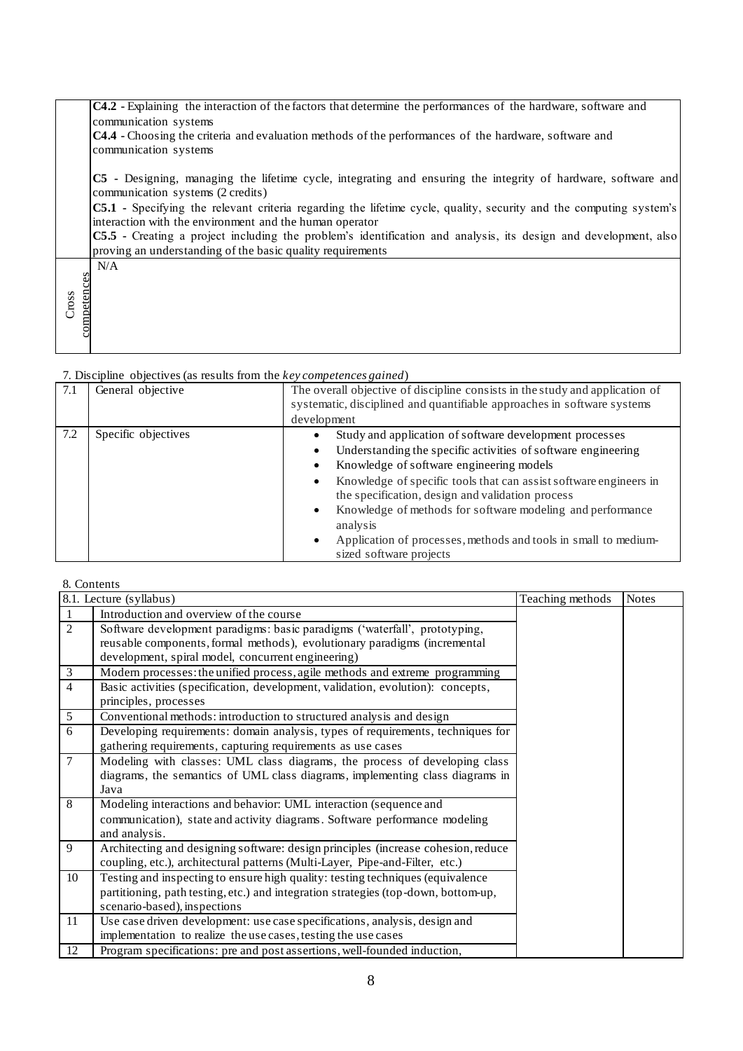|                      | C4.2 - Explaining the interaction of the factors that determine the performances of the hardware, software and                                                                |
|----------------------|-------------------------------------------------------------------------------------------------------------------------------------------------------------------------------|
|                      | communication systems                                                                                                                                                         |
|                      | <b>C4.4</b> - Choosing the criteria and evaluation methods of the performances of the hardware, software and                                                                  |
|                      | communication systems                                                                                                                                                         |
|                      | C5 - Designing, managing the lifetime cycle, integrating and ensuring the integrity of hardware, software and<br>communication systems (2 credits)                            |
|                      | C5.1 - Specifying the relevant criteria regarding the lifetime cycle, quality, security and the computing system's<br>interaction with the environment and the human operator |
|                      | C5.5 - Creating a project including the problem's identification and analysis, its design and development, also                                                               |
|                      | proving an understanding of the basic quality requirements                                                                                                                    |
|                      | N/A                                                                                                                                                                           |
|                      |                                                                                                                                                                               |
| competences<br>Cross |                                                                                                                                                                               |
|                      |                                                                                                                                                                               |
|                      |                                                                                                                                                                               |
|                      |                                                                                                                                                                               |

| 7.1 | General objective   | The overall objective of discipline consists in the study and application of<br>systematic, disciplined and quantifiable approaches in software systems<br>development                                                                                                                                                                                                                                                                                                             |
|-----|---------------------|------------------------------------------------------------------------------------------------------------------------------------------------------------------------------------------------------------------------------------------------------------------------------------------------------------------------------------------------------------------------------------------------------------------------------------------------------------------------------------|
| 7.2 | Specific objectives | Study and application of software development processes<br>Understanding the specific activities of software engineering<br>Knowledge of software engineering models<br>Knowledge of specific tools that can assist software engineers in<br>the specification, design and validation process<br>Knowledge of methods for software modeling and performance<br>$\bullet$<br>analysis<br>Application of processes, methods and tools in small to medium-<br>sized software projects |

# 8. Contents

|                | 8.1. Lecture (syllabus)                                                            | Teaching methods | Notes |
|----------------|------------------------------------------------------------------------------------|------------------|-------|
| 1              | Introduction and overview of the course                                            |                  |       |
| 2              | Software development paradigms: basic paradigms ('waterfall', prototyping,         |                  |       |
|                | reusable components, formal methods), evolutionary paradigms (incremental          |                  |       |
|                | development, spiral model, concurrent engineering)                                 |                  |       |
| 3              | Modern processes: the unified process, agile methods and extreme programming       |                  |       |
| $\overline{4}$ | Basic activities (specification, development, validation, evolution): concepts,    |                  |       |
|                | principles, processes                                                              |                  |       |
| 5              | Conventional methods: introduction to structured analysis and design               |                  |       |
| 6              | Developing requirements: domain analysis, types of requirements, techniques for    |                  |       |
|                | gathering requirements, capturing requirements as use cases                        |                  |       |
| $\overline{7}$ | Modeling with classes: UML class diagrams, the process of developing class         |                  |       |
|                | diagrams, the semantics of UML class diagrams, implementing class diagrams in      |                  |       |
|                | Java                                                                               |                  |       |
| 8              | Modeling interactions and behavior: UML interaction (sequence and                  |                  |       |
|                | communication), state and activity diagrams. Software performance modeling         |                  |       |
|                | and analysis.                                                                      |                  |       |
| 9              | Architecting and designing software: design principles (increase cohesion, reduce  |                  |       |
|                | coupling, etc.), architectural patterns (Multi-Layer, Pipe-and-Filter, etc.)       |                  |       |
| 10             | Testing and inspecting to ensure high quality: testing techniques (equivalence     |                  |       |
|                | partitioning, path testing, etc.) and integration strategies (top-down, bottom-up, |                  |       |
|                | scenario-based), inspections                                                       |                  |       |
| 11             | Use case driven development: use case specifications, analysis, design and         |                  |       |
|                | implementation to realize the use cases, testing the use cases                     |                  |       |
| 12             | Program specifications: pre and post assertions, well-founded induction,           |                  |       |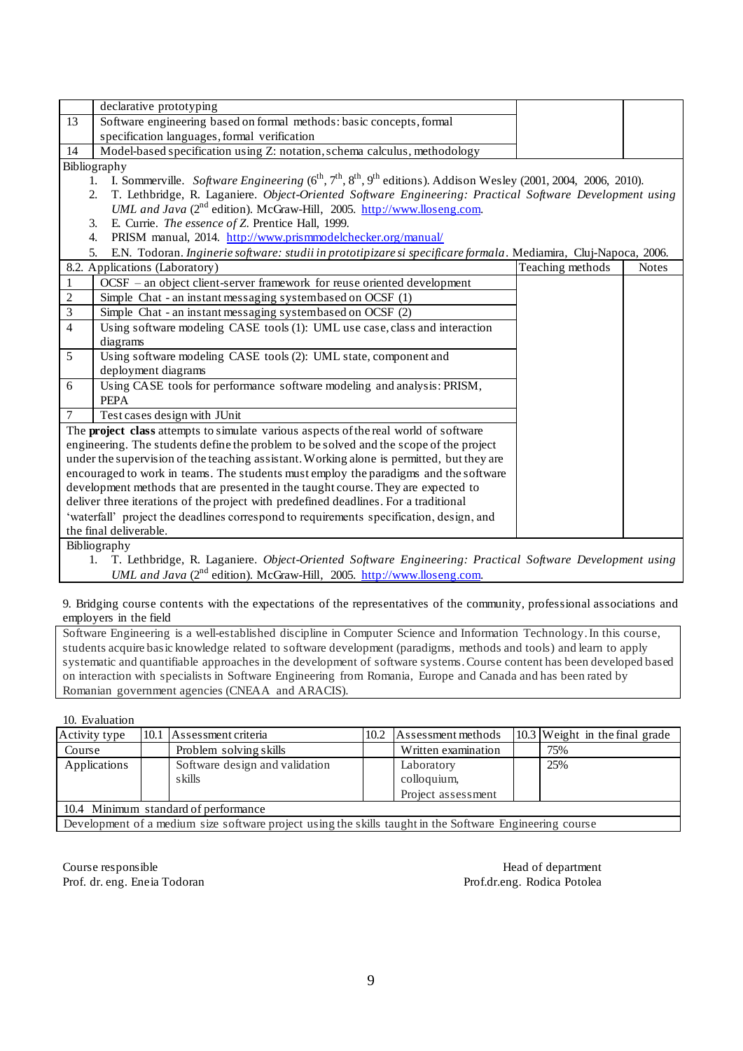|                | declarative prototyping                                                                                                                      |                  |              |
|----------------|----------------------------------------------------------------------------------------------------------------------------------------------|------------------|--------------|
| 13             | Software engineering based on formal methods: basic concepts, formal                                                                         |                  |              |
|                | specification languages, formal verification                                                                                                 |                  |              |
| 14             | Model-based specification using Z: notation, schema calculus, methodology                                                                    |                  |              |
|                | Bibliography                                                                                                                                 |                  |              |
|                | I. Sommerville. Software Engineering $(6^{th}, 7^{th}, 8^{th}, 9^{th}$ editions). Addison Wesley (2001, 2004, 2006, 2010).<br>$\mathbf{1}$ . |                  |              |
|                | T. Lethbridge, R. Laganiere. Object-Oriented Software Engineering: Practical Software Development using<br>2.                                |                  |              |
|                | <i>UML and Java</i> ( $2^{nd}$ edition). McGraw-Hill, 2005. http://www.lloseng.com.                                                          |                  |              |
|                | E. Currie. The essence of Z. Prentice Hall, 1999.<br>3.                                                                                      |                  |              |
|                | PRISM manual, 2014. http://www.prismmodelchecker.org/manual/<br>4.                                                                           |                  |              |
|                | E.N. Todoran. Inginerie software: studii in prototipizare si specificare formala. Mediamira, Cluj-Napoca, 2006.<br>5.                        |                  |              |
|                | 8.2. Applications (Laboratory)                                                                                                               | Teaching methods | <b>Notes</b> |
| 1              | OCSF – an object client-server framework for reuse oriented development                                                                      |                  |              |
| 2              | Simple Chat - an instant messaging systembased on OCSF (1)                                                                                   |                  |              |
| $\mathfrak{Z}$ | Simple Chat - an instant messaging systembased on OCSF (2)                                                                                   |                  |              |
| 4              | Using software modeling CASE tools (1): UML use case, class and interaction                                                                  |                  |              |
|                | diagrams                                                                                                                                     |                  |              |
| 5              | Using software modeling CASE tools (2): UML state, component and                                                                             |                  |              |
|                | deployment diagrams                                                                                                                          |                  |              |
| 6              | Using CASE tools for performance software modeling and analysis: PRISM,                                                                      |                  |              |
|                | <b>PEPA</b>                                                                                                                                  |                  |              |
| 7              | Test cases design with JUnit                                                                                                                 |                  |              |
|                | The project class attempts to simulate various aspects of the real world of software                                                         |                  |              |
|                | engineering. The students define the problem to be solved and the scope of the project                                                       |                  |              |
|                | under the supervision of the teaching assistant. Working alone is permitted, but they are                                                    |                  |              |
|                | encouraged to work in teams. The students must employ the paradigms and the software                                                         |                  |              |
|                | development methods that are presented in the taught course. They are expected to                                                            |                  |              |
|                | deliver three iterations of the project with predefined deadlines. For a traditional                                                         |                  |              |
|                | 'waterfall' project the deadlines correspond to requirements specification, design, and                                                      |                  |              |
|                | the final deliverable.                                                                                                                       |                  |              |
|                | $\mathbf{D}_i$ bliography                                                                                                                    |                  |              |

Bibliography

1. T. Lethbridge, R. Laganiere. *Object-Oriented Software Engineering: Practical Software Development using UML and Java* (2<sup>nd</sup> edition). McGraw-Hill, 2005. [http://www.lloseng.com.](http://www.lloseng.com/)

9. Bridging course contents with the expectations of the representatives of the community, professional associations and employers in the field

Software Engineering is a well-established discipline in Computer Science and Information Technology. In this course, students acquire basic knowledge related to software development (paradigms, methods and tools) and learn to apply systematic and quantifiable approaches in the development of software systems. Course content has been developed based on interaction with specialists in Software Engineering from Romania, Europe and Canada and has been rated by Romanian government agencies (CNEAA and ARACIS).

10. Evaluation

| Activity type |                                                                                                          | 10.1 Assessment criteria       | 10.2 | Assessment methods  |  | 10.3 Weight in the final grade |  |  |
|---------------|----------------------------------------------------------------------------------------------------------|--------------------------------|------|---------------------|--|--------------------------------|--|--|
| Course        |                                                                                                          | Problem solving skills         |      | Written examination |  | 75%                            |  |  |
| Applications  |                                                                                                          | Software design and validation |      | Laboratory          |  | 25%                            |  |  |
|               |                                                                                                          | s kills                        |      | colloquium,         |  |                                |  |  |
|               |                                                                                                          |                                |      | Project assessment  |  |                                |  |  |
|               | 10.4 Minimum standard of performance                                                                     |                                |      |                     |  |                                |  |  |
|               | Development of a medium size software project using the skills taught in the Software Engineering course |                                |      |                     |  |                                |  |  |

Course responsible Head of department Prof. dr. eng. Eneia Todoran Prof.dr.eng. Rodica Potolea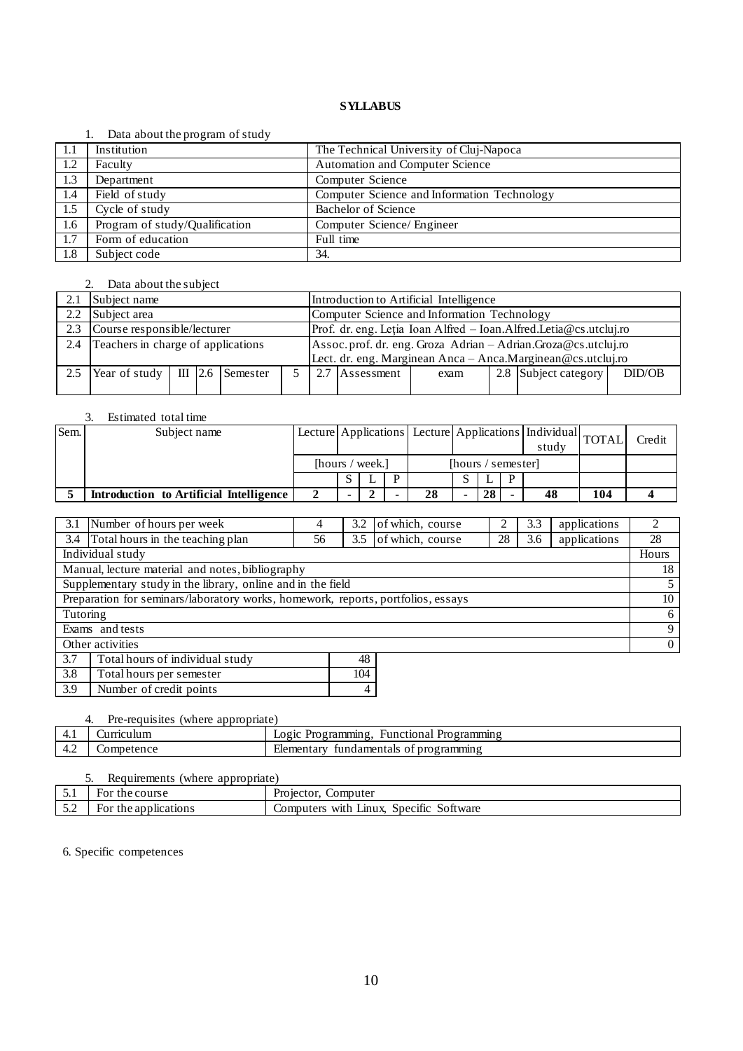#### 1. Data about the program of study

|      | $\sim$ and about the program of beau |                                             |
|------|--------------------------------------|---------------------------------------------|
| -1.1 | Institution                          | The Technical University of Cluj-Napoca     |
| 1.2  | Faculty                              | <b>Automation and Computer Science</b>      |
| 1.3  | Department                           | Computer Science                            |
| 1.4  | Field of study                       | Computer Science and Information Technology |
| 1.5  | Cycle of study                       | Bachelor of Science                         |
| 1.6  | Program of study/Qualification       | Computer Science/ Engineer                  |
| 1.7  | Form of education                    | Full time                                   |
| 1.8  | Subject code                         | 34.                                         |

# 2. Data about the subject

|               | Subject name                            |  |  |  |                                                               | Introduction to Artificial Intelligence |                                             |      |  |                                                                   |        |  |
|---------------|-----------------------------------------|--|--|--|---------------------------------------------------------------|-----------------------------------------|---------------------------------------------|------|--|-------------------------------------------------------------------|--------|--|
| $2.2^{\circ}$ | Subject area                            |  |  |  |                                                               |                                         | Computer Science and Information Technology |      |  |                                                                   |        |  |
| 2.3           | Course responsible/lecturer             |  |  |  |                                                               |                                         |                                             |      |  | Prof. dr. eng. Letia Ioan Alfred - Ioan.Alfred.Letia@cs.utcluj.ro |        |  |
| 2.4           | Teachers in charge of applications      |  |  |  | Assoc.prof. dr. eng. Groza Adrian - Adrian.Groza@cs.utcluj.ro |                                         |                                             |      |  |                                                                   |        |  |
|               |                                         |  |  |  |                                                               |                                         |                                             |      |  | Lect. dr. eng. Marginean Anca - Anca. Marginean @cs.utcluj.ro     |        |  |
| 2.5           | $\text{Year of study}$ III 2.6 Semester |  |  |  |                                                               |                                         | Assessment                                  | exam |  | 2.8 Subject category                                              | DID/OB |  |
|               |                                         |  |  |  |                                                               |                                         |                                             |      |  |                                                                   |        |  |

# 3. Estimated total time

| Sem. | Subject name                            |                 |  |                    | Lecture Applications Lecture Applications   Individual   TOTAL |  | study |  | Credit |     |  |
|------|-----------------------------------------|-----------------|--|--------------------|----------------------------------------------------------------|--|-------|--|--------|-----|--|
|      |                                         | [hours / week.] |  | [hours / semester] |                                                                |  |       |  |        |     |  |
|      |                                         |                 |  | D                  |                                                                |  |       |  |        |     |  |
|      | Introduction to Artificial Intelligence |                 |  |                    | 28                                                             |  | 28    |  | 48     | 104 |  |

|                 | 3.1 Number of hours per week                                                     |    | 3.2 | of which, course |    | 3.3 | applications |          |
|-----------------|----------------------------------------------------------------------------------|----|-----|------------------|----|-----|--------------|----------|
| 3.4             | Total hours in the teaching plan                                                 | 56 | 3.5 | of which, course | 28 | 3.6 | applications | 28       |
|                 | Individual study                                                                 |    |     |                  |    |     |              | Hours    |
|                 | Manual, lecture material and notes, bibliography                                 |    |     |                  |    |     |              | 18       |
|                 | Supplementary study in the library, online and in the field                      |    |     |                  |    |     |              |          |
|                 | Preparation for seminars/laboratory works, homework, reports, portfolios, essays |    |     |                  |    |     |              | 10       |
| Tutoring        |                                                                                  |    |     |                  |    |     |              | 6        |
| Exams and tests |                                                                                  |    |     |                  |    | 9   |              |          |
|                 | Other activities                                                                 |    |     |                  |    |     |              | $\Omega$ |
| 3.7             | Total hours of individual study                                                  |    | 48  |                  |    |     |              |          |
| 3.8             | Total hours per semester                                                         |    | 104 |                  |    |     |              |          |

| .     | Total Hours per semester |  |
|-------|--------------------------|--|
| l 3.9 | Number of credit points  |  |
|       |                          |  |

|     | Pre-requisites (where appropriate) |                                                     |
|-----|------------------------------------|-----------------------------------------------------|
| 4.1 | 'urnculum                          | Logic Programming.<br><b>Functional Programming</b> |
| 4.2 | $\omega$ ompetence                 | fundamentals of programming<br>Elementary           |

|                       | Requirements (where appropriate) |                                         |  |  |  |  |  |  |
|-----------------------|----------------------------------|-----------------------------------------|--|--|--|--|--|--|
|                       | For the course                   | Projector, Computer                     |  |  |  |  |  |  |
| 52<br>$\cup$ . $\sim$ | For the applications             | Computers with Linux, Specific Software |  |  |  |  |  |  |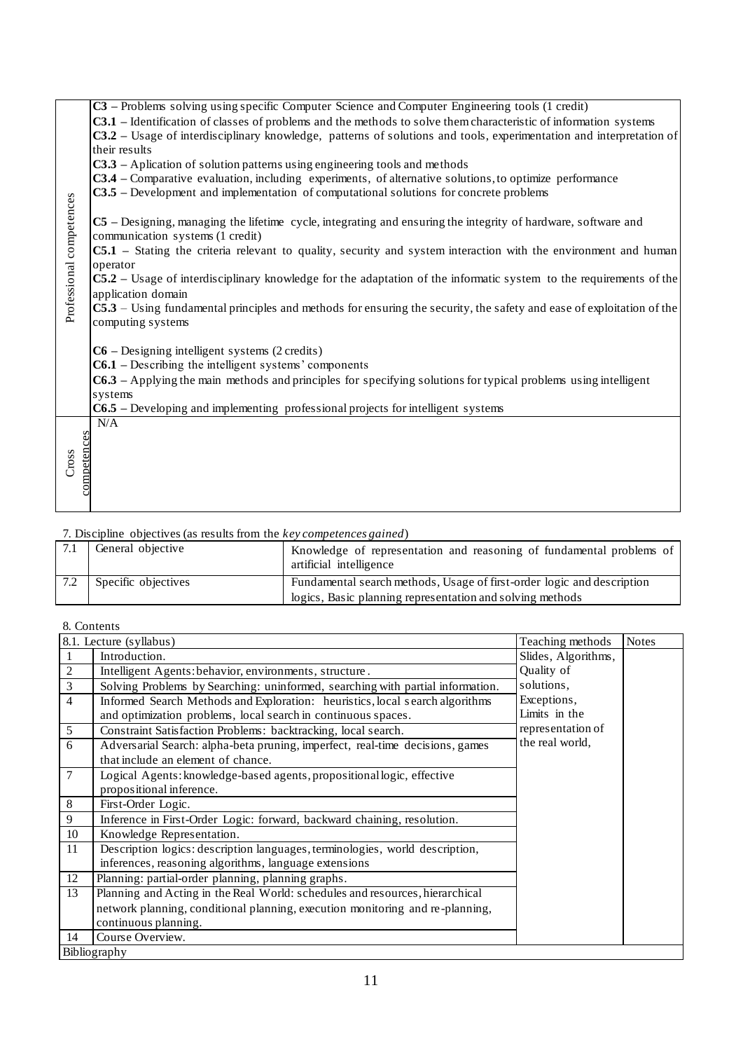|                          | C3 – Problems solving using specific Computer Science and Computer Engineering tools (1 credit)                            |
|--------------------------|----------------------------------------------------------------------------------------------------------------------------|
|                          | <b>C3.1</b> – Identification of classes of problems and the methods to solve them characteristic of information systems    |
|                          | C3.2 - Usage of interdisciplinary knowledge, patterns of solutions and tools, experimentation and interpretation of        |
|                          | their results                                                                                                              |
|                          | C3.3 - Aplication of solution patterns using engineering tools and methods                                                 |
|                          | <b>C3.4</b> – Comparative evaluation, including experiments, of alternative solutions, to optimize performance             |
|                          | <b>C3.5</b> – Development and implementation of computational solutions for concrete problems                              |
|                          |                                                                                                                            |
|                          | C5 – Designing, managing the lifetime cycle, integrating and ensuring the integrity of hardware, software and              |
|                          | communication systems (1 credit)                                                                                           |
| Professional competences | C5.1 - Stating the criteria relevant to quality, security and system interaction with the environment and human            |
|                          | operator                                                                                                                   |
|                          | $CS.2$ – Usage of interdisciplinary knowledge for the adaptation of the informatic system to the requirements of the       |
|                          | application domain                                                                                                         |
|                          | C5.3 – Using fundamental principles and methods for ensuring the security, the safety and ease of exploitation of the      |
|                          | computing systems                                                                                                          |
|                          |                                                                                                                            |
|                          | $C6$ – Designing intelligent systems (2 credits)<br>$C6.1$ – Describing the intelligent systems' components                |
|                          |                                                                                                                            |
|                          | C6.3 - Applying the main methods and principles for specifying solutions for typical problems using intelligent<br>systems |
|                          | $C6.5$ – Developing and implementing professional projects for intelligent systems                                         |
|                          | N/A                                                                                                                        |
|                          |                                                                                                                            |
|                          |                                                                                                                            |
| competences<br>Cross     |                                                                                                                            |
|                          |                                                                                                                            |
|                          |                                                                                                                            |
|                          |                                                                                                                            |

|     | $\sim$ 2.0 $\sim$ 4.0 $\sim$ 1.0 $\sim$ 1.0 $\sim$ 1.0 $\sim$ 1.0 $\sim$ 1.0 $\sim$ 1.0 $\sim$ 1.0 $\sim$ 1.0 $\sim$ 1.0 $\sim$ 1.0 $\sim$ 1.0 $\sim$ 1.0 $\sim$ 1.0 $\sim$ 1.0 $\sim$ 1.0 $\sim$ 1.0 $\sim$ 1.0 $\sim$ 1.0 $\sim$ 1.0 $\sim$ 1.0 $\sim$ 1.0 $\sim$ 1.0 $\sim$ |                                                                                                 |
|-----|--------------------------------------------------------------------------------------------------------------------------------------------------------------------------------------------------------------------------------------------------------------------------------|-------------------------------------------------------------------------------------------------|
| 7.1 | General objective                                                                                                                                                                                                                                                              | Knowledge of representation and reasoning of fundamental problems of<br>artificial intelligence |
|     | Specific objectives                                                                                                                                                                                                                                                            | Fundamental search methods, Usage of first-order logic and description                          |
|     |                                                                                                                                                                                                                                                                                | logics, Basic planning representation and solving methods                                       |

# 8. Contents

|                          | ciophicht and implementation of computational solutions for concret                                                                                                                                                                                                  |                                                                                                                                     |                     |       |  |  |  |  |
|--------------------------|----------------------------------------------------------------------------------------------------------------------------------------------------------------------------------------------------------------------------------------------------------------------|-------------------------------------------------------------------------------------------------------------------------------------|---------------------|-------|--|--|--|--|
| Professional competences | C5 – Designing, managing the lifetime cycle, integrating and ensuring the integrity of hardware, software and<br>communication systems (1 credit)<br>C5.1 – Stating the criteria relevant to quality, security and system interaction with the environment and human |                                                                                                                                     |                     |       |  |  |  |  |
|                          |                                                                                                                                                                                                                                                                      |                                                                                                                                     |                     |       |  |  |  |  |
|                          | operator                                                                                                                                                                                                                                                             |                                                                                                                                     |                     |       |  |  |  |  |
|                          | application domain                                                                                                                                                                                                                                                   | C5.2 – Usage of interdisciplinary knowledge for the adaptation of the informatic system to the requirements of the                  |                     |       |  |  |  |  |
|                          |                                                                                                                                                                                                                                                                      | C5.3 – Using fundamental principles and methods for ensuring the security, the safety and ease of exploitation of the               |                     |       |  |  |  |  |
|                          | computing systems                                                                                                                                                                                                                                                    |                                                                                                                                     |                     |       |  |  |  |  |
|                          |                                                                                                                                                                                                                                                                      |                                                                                                                                     |                     |       |  |  |  |  |
|                          | $C6$ – Designing intelligent systems (2 credits)                                                                                                                                                                                                                     |                                                                                                                                     |                     |       |  |  |  |  |
|                          | $C6.1$ – Describing the intelligent systems' components                                                                                                                                                                                                              |                                                                                                                                     |                     |       |  |  |  |  |
|                          |                                                                                                                                                                                                                                                                      | $C6.3$ – Applying the main methods and principles for specifying solutions for typical problems using intelligent                   |                     |       |  |  |  |  |
|                          | systems                                                                                                                                                                                                                                                              |                                                                                                                                     |                     |       |  |  |  |  |
|                          |                                                                                                                                                                                                                                                                      | $C6.5$ – Developing and implementing professional projects for intelligent systems                                                  |                     |       |  |  |  |  |
|                          | N/A                                                                                                                                                                                                                                                                  |                                                                                                                                     |                     |       |  |  |  |  |
|                          |                                                                                                                                                                                                                                                                      |                                                                                                                                     |                     |       |  |  |  |  |
|                          |                                                                                                                                                                                                                                                                      |                                                                                                                                     |                     |       |  |  |  |  |
| competences<br>Cross     |                                                                                                                                                                                                                                                                      |                                                                                                                                     |                     |       |  |  |  |  |
|                          |                                                                                                                                                                                                                                                                      |                                                                                                                                     |                     |       |  |  |  |  |
|                          |                                                                                                                                                                                                                                                                      |                                                                                                                                     |                     |       |  |  |  |  |
|                          |                                                                                                                                                                                                                                                                      |                                                                                                                                     |                     |       |  |  |  |  |
|                          | 7. Discipline objectives (as results from the key competences gained)                                                                                                                                                                                                |                                                                                                                                     |                     |       |  |  |  |  |
| 7.1                      | General objective                                                                                                                                                                                                                                                    | Knowledge of representation and reasoning of fundamental problems of                                                                |                     |       |  |  |  |  |
|                          |                                                                                                                                                                                                                                                                      | artificial intelligence                                                                                                             |                     |       |  |  |  |  |
|                          |                                                                                                                                                                                                                                                                      |                                                                                                                                     |                     |       |  |  |  |  |
| 7.2                      | Specific objectives                                                                                                                                                                                                                                                  | Fundamental search methods, Usage of first-order logic and description<br>logics, Basic planning representation and solving methods |                     |       |  |  |  |  |
|                          |                                                                                                                                                                                                                                                                      |                                                                                                                                     |                     |       |  |  |  |  |
|                          | 8. Contents                                                                                                                                                                                                                                                          |                                                                                                                                     |                     |       |  |  |  |  |
|                          | 8.1. Lecture (syllabus)                                                                                                                                                                                                                                              |                                                                                                                                     | Teaching methods    | Notes |  |  |  |  |
| $\mathbf{1}$             | Introduction.                                                                                                                                                                                                                                                        |                                                                                                                                     | Slides, Algorithms, |       |  |  |  |  |
| $\overline{c}$           | Intelligent Agents: behavior, environments, structure.                                                                                                                                                                                                               |                                                                                                                                     | Quality of          |       |  |  |  |  |
| $\mathfrak{Z}$           |                                                                                                                                                                                                                                                                      | Solving Problems by Searching: uninformed, searching with partial information.                                                      | solutions,          |       |  |  |  |  |
| $\overline{4}$           |                                                                                                                                                                                                                                                                      | Informed Search Methods and Exploration: heuristics, local search algorithms                                                        | Exceptions,         |       |  |  |  |  |
|                          | and optimization problems, local search in continuous spaces.                                                                                                                                                                                                        |                                                                                                                                     | Limits in the       |       |  |  |  |  |
| 5                        | Constraint Satisfaction Problems: backtracking, local search.                                                                                                                                                                                                        |                                                                                                                                     | representation of   |       |  |  |  |  |
| 6                        |                                                                                                                                                                                                                                                                      | Adversarial Search: alpha-beta pruning, imperfect, real-time decisions, games                                                       | the real world,     |       |  |  |  |  |
|                          | that include an element of chance.                                                                                                                                                                                                                                   |                                                                                                                                     |                     |       |  |  |  |  |
| $\tau$                   | Logical Agents: knowledge-based agents, propositional logic, effective                                                                                                                                                                                               |                                                                                                                                     |                     |       |  |  |  |  |
|                          | propositional inference.                                                                                                                                                                                                                                             |                                                                                                                                     |                     |       |  |  |  |  |
| 8                        | First-Order Logic.                                                                                                                                                                                                                                                   |                                                                                                                                     |                     |       |  |  |  |  |
| 9                        | Inference in First-Order Logic: forward, backward chaining, resolution.                                                                                                                                                                                              |                                                                                                                                     |                     |       |  |  |  |  |
| 10                       | Knowledge Representation.                                                                                                                                                                                                                                            |                                                                                                                                     |                     |       |  |  |  |  |
| 11                       |                                                                                                                                                                                                                                                                      | Description logics: description languages, terminologies, world description,                                                        |                     |       |  |  |  |  |
|                          | inferences, reasoning algorithms, language extensions                                                                                                                                                                                                                |                                                                                                                                     |                     |       |  |  |  |  |
| 12                       | Planning: partial-order planning, planning graphs.                                                                                                                                                                                                                   |                                                                                                                                     |                     |       |  |  |  |  |
| 13                       |                                                                                                                                                                                                                                                                      | Planning and Acting in the Real World: schedules and resources, hierarchical                                                        |                     |       |  |  |  |  |
|                          |                                                                                                                                                                                                                                                                      | network planning, conditional planning, execution monitoring and re-planning,                                                       |                     |       |  |  |  |  |
|                          | continuous planning.                                                                                                                                                                                                                                                 |                                                                                                                                     |                     |       |  |  |  |  |
| 14                       | Course Overview.                                                                                                                                                                                                                                                     |                                                                                                                                     |                     |       |  |  |  |  |
|                          |                                                                                                                                                                                                                                                                      |                                                                                                                                     |                     |       |  |  |  |  |
|                          | Bibliography                                                                                                                                                                                                                                                         |                                                                                                                                     |                     |       |  |  |  |  |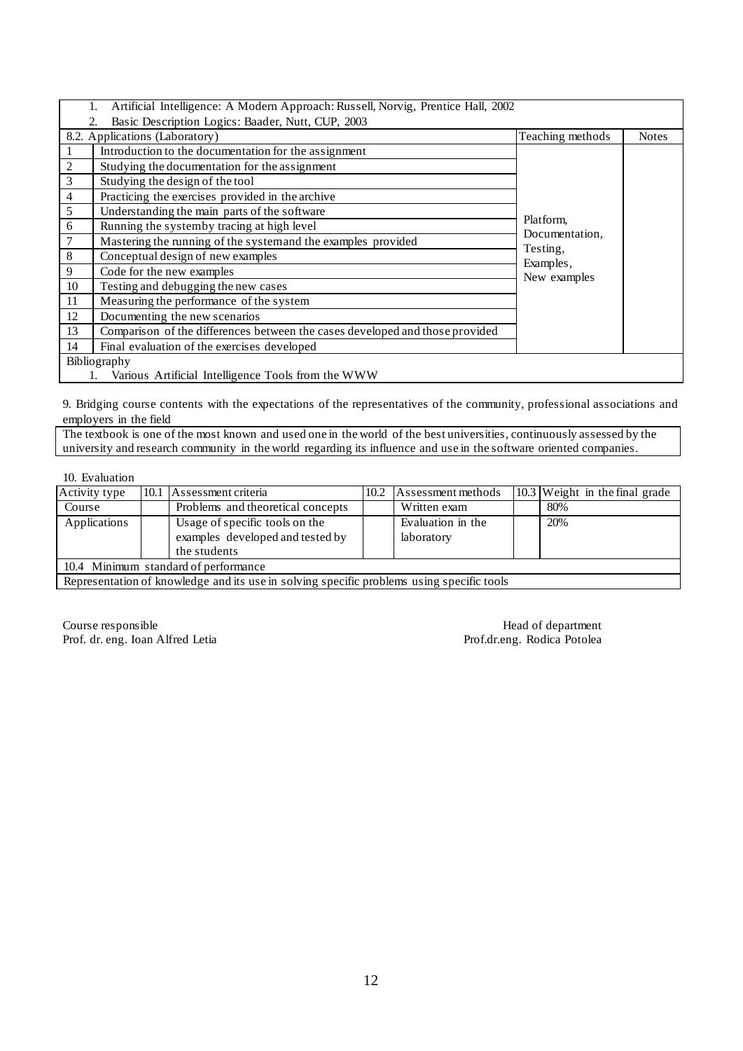|                | Artificial Intelligence: A Modern Approach: Russell, Norvig, Prentice Hall, 2002 |                             |              |  |  |  |  |  |  |
|----------------|----------------------------------------------------------------------------------|-----------------------------|--------------|--|--|--|--|--|--|
|                | Basic Description Logics: Baader, Nutt, CUP, 2003                                |                             |              |  |  |  |  |  |  |
|                | 8.2. Applications (Laboratory)                                                   | Teaching methods            | <b>Notes</b> |  |  |  |  |  |  |
|                | Introduction to the documentation for the assignment                             |                             |              |  |  |  |  |  |  |
| 2              | Studying the documentation for the assignment                                    |                             |              |  |  |  |  |  |  |
| 3              | Studying the design of the tool                                                  |                             |              |  |  |  |  |  |  |
| $\overline{4}$ | Practicing the exercises provided in the archive                                 |                             |              |  |  |  |  |  |  |
| 5              | Understanding the main parts of the software                                     |                             |              |  |  |  |  |  |  |
| 6              | Running the systemby tracing at high level                                       | Platform,<br>Documentation, |              |  |  |  |  |  |  |
|                | Mastering the running of the systemand the examples provided                     |                             |              |  |  |  |  |  |  |
| 8              | Conceptual design of new examples                                                | Testing,<br>Examples,       |              |  |  |  |  |  |  |
| 9              | Code for the new examples                                                        | New examples                |              |  |  |  |  |  |  |
| 10             | Testing and debugging the new cases                                              |                             |              |  |  |  |  |  |  |
| 11             | Measuring the performance of the system                                          |                             |              |  |  |  |  |  |  |
| 12             | Documenting the new scenarios                                                    |                             |              |  |  |  |  |  |  |
| 13             | Comparison of the differences between the cases developed and those provided     |                             |              |  |  |  |  |  |  |
| 14             | Final evaluation of the exercises developed                                      |                             |              |  |  |  |  |  |  |
|                | Bibliography                                                                     |                             |              |  |  |  |  |  |  |
|                | Various Artificial Intelligence Tools from the WWW                               |                             |              |  |  |  |  |  |  |

9. Bridging course contents with the expectations of the representatives of the community, professional associations and employers in the field

The textbook is one of the most known and used one in the world of the best universities, continuously assessed by the university and research community in the world regarding its influence and use in the software oriented companies.

10. Evaluation

| Activity type                                                                             |                                      | 10.1 Assessment criteria          | 10.2 <sub>1</sub> | Assessment methods |  | 10.3 Weight in the final grade |  |  |  |
|-------------------------------------------------------------------------------------------|--------------------------------------|-----------------------------------|-------------------|--------------------|--|--------------------------------|--|--|--|
| Course                                                                                    |                                      | Problems and theoretical concepts |                   | Written exam       |  | 80%                            |  |  |  |
| Applications                                                                              |                                      | Usage of specific tools on the    |                   | Evaluation in the  |  | 20%                            |  |  |  |
|                                                                                           |                                      | examples developed and tested by  |                   | laboratory         |  |                                |  |  |  |
|                                                                                           |                                      | the students                      |                   |                    |  |                                |  |  |  |
|                                                                                           | 10.4 Minimum standard of performance |                                   |                   |                    |  |                                |  |  |  |
| Representation of knowledge and its use in solving specific problems using specific tools |                                      |                                   |                   |                    |  |                                |  |  |  |

Course responsible Head of department Prof. dr. eng. Ioan Alfred Letia Prof. dr. eng. Ioan Alfred Letia Prof. dr. eng. Ioan Alfred Letia Prof. dr. eng. Ioan Alfred Letia Prof. dr. eng. Ioan Alfred Letia Prof. dr. eng. Ioan Prof. dr. eng. Ioan Alfred Letia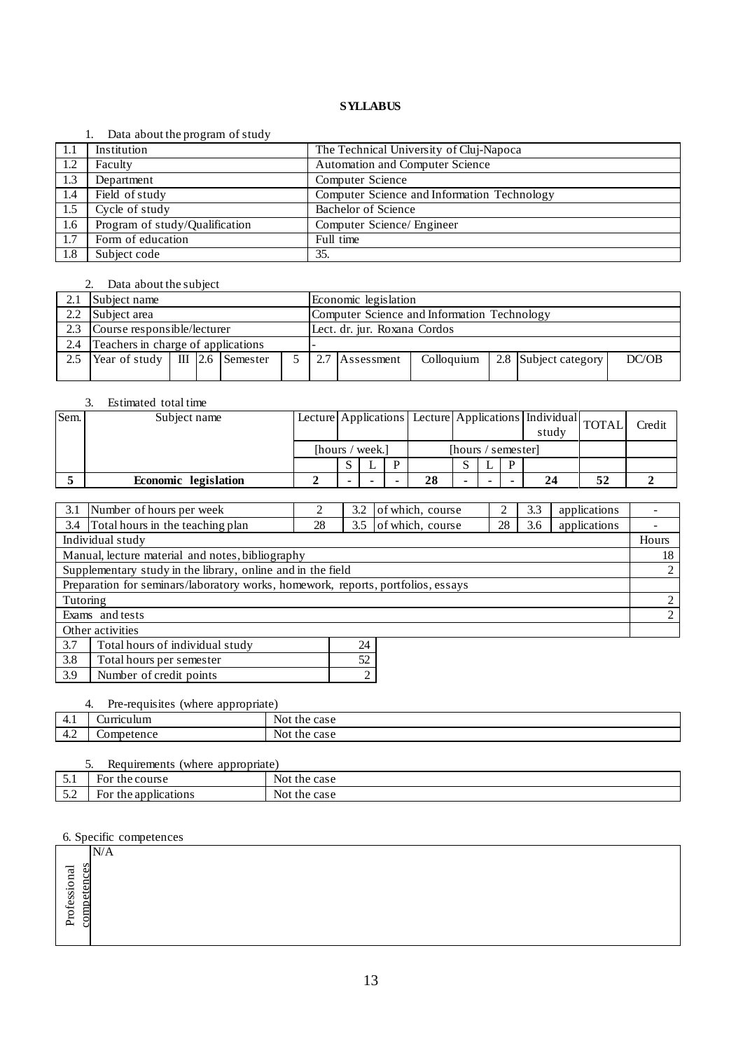#### 1. Data about the program of study

| -1.1 | Institution                    | The Technical University of Cluj-Napoca     |
|------|--------------------------------|---------------------------------------------|
| 1.2  | Faculty                        | <b>Automation and Computer Science</b>      |
| 1.3  | Department                     | Computer Science                            |
| 1.4  | Field of study                 | Computer Science and Information Technology |
| 1.5  | Cycle of study                 | Bachelor of Science                         |
| 1.6  | Program of study/Qualification | Computer Science/ Engineer                  |
| 1.7  | Form of education              | Full time                                   |
| 1.8  | Subject code                   | 35.                                         |

# 2. Data about the subject

|     | Subject name<br>Economic legislation                        |                                                             |  |  |  |                                                               |  |  |  |  |  |
|-----|-------------------------------------------------------------|-------------------------------------------------------------|--|--|--|---------------------------------------------------------------|--|--|--|--|--|
| 2.2 | Subject area<br>Computer Science and Information Technology |                                                             |  |  |  |                                                               |  |  |  |  |  |
|     |                                                             | Course responsible/lecturer<br>Lect. dr. jur. Roxana Cordos |  |  |  |                                                               |  |  |  |  |  |
| 2.4 | Teachers in charge of applications                          |                                                             |  |  |  |                                                               |  |  |  |  |  |
| 2.5 | Year of study $\parallel$ III 2.6 Semester                  |                                                             |  |  |  | 2.7 Assessment<br>2.8 Subject category<br>DC/OB<br>Colloquium |  |  |  |  |  |
|     |                                                             |                                                             |  |  |  |                                                               |  |  |  |  |  |

#### 3. Estimated total time

| Sem. | Subject name         |  |                 |    |                    |  | Lecture Applications Lecture Applications   Individual TOTAL<br>study |    | Credit |
|------|----------------------|--|-----------------|----|--------------------|--|-----------------------------------------------------------------------|----|--------|
|      |                      |  | [hours / week.] |    | [hours / semester] |  |                                                                       |    |        |
|      |                      |  |                 |    |                    |  |                                                                       |    |        |
|      | Economic legislation |  |                 | 28 |                    |  | 24                                                                    | 52 |        |

| 3.1           | Number of hours per week                                                         | ◠  | 3.2  | of which, course | ∍  | 3.3 | applications |       |
|---------------|----------------------------------------------------------------------------------|----|------|------------------|----|-----|--------------|-------|
| 3.4           | Total hours in the teaching plan                                                 | 28 | 3.5  | of which, course | 28 | 3.6 | applications |       |
|               | Individual study                                                                 |    |      |                  |    |     |              | Hours |
|               | Manual, lecture material and notes, bibliography                                 |    |      |                  |    |     |              | 18    |
|               | Supplementary study in the library, online and in the field                      |    |      |                  |    |     |              | 2     |
|               | Preparation for seminars/laboratory works, homework, reports, portfolios, essays |    |      |                  |    |     |              |       |
| Tutoring      |                                                                                  |    |      |                  |    |     |              | 2     |
|               | Exams and tests                                                                  |    |      |                  |    |     |              | 2     |
|               | Other activities                                                                 |    |      |                  |    |     |              |       |
| 3.7           | Total hours of individual study                                                  |    | 24   |                  |    |     |              |       |
| $\sim$ $\sim$ | -- -                                                                             |    | $-1$ |                  |    |     |              |       |

| $\vert 3.8 \vert$ | Total hours per semester |  |
|-------------------|--------------------------|--|
| $\vert$ 3.9       | Number of credit points  |  |
|                   |                          |  |

# 4. Pre-requisites (where appropriate)

|               | --         |                            |
|---------------|------------|----------------------------|
| - 1           | urnculum   | 0000<br>NOU<br>tne<br>case |
| $\sim$<br>–⊷∠ | Competence | 0000<br>NOU<br>tne<br>case |
|               |            |                            |

|                               | (where appropriate)<br>Requirements<br><u>.</u> |              |  |  |  |  |  |  |  |  |
|-------------------------------|-------------------------------------------------|--------------|--|--|--|--|--|--|--|--|
| ◡.                            | For the course                                  | Not the case |  |  |  |  |  |  |  |  |
| $\epsilon$ $\sim$<br><u>.</u> | For the applications                            | Not the case |  |  |  |  |  |  |  |  |

|                      | 0. opeenic competences |  |  |
|----------------------|------------------------|--|--|
|                      | N/A                    |  |  |
| ಸ                    | s<br>Φ                 |  |  |
| $\Xi$<br>$\check{ }$ | eten                   |  |  |
| ofessi               | ∽                      |  |  |
| $\check{ }$          | com                    |  |  |
| 占                    |                        |  |  |
|                      |                        |  |  |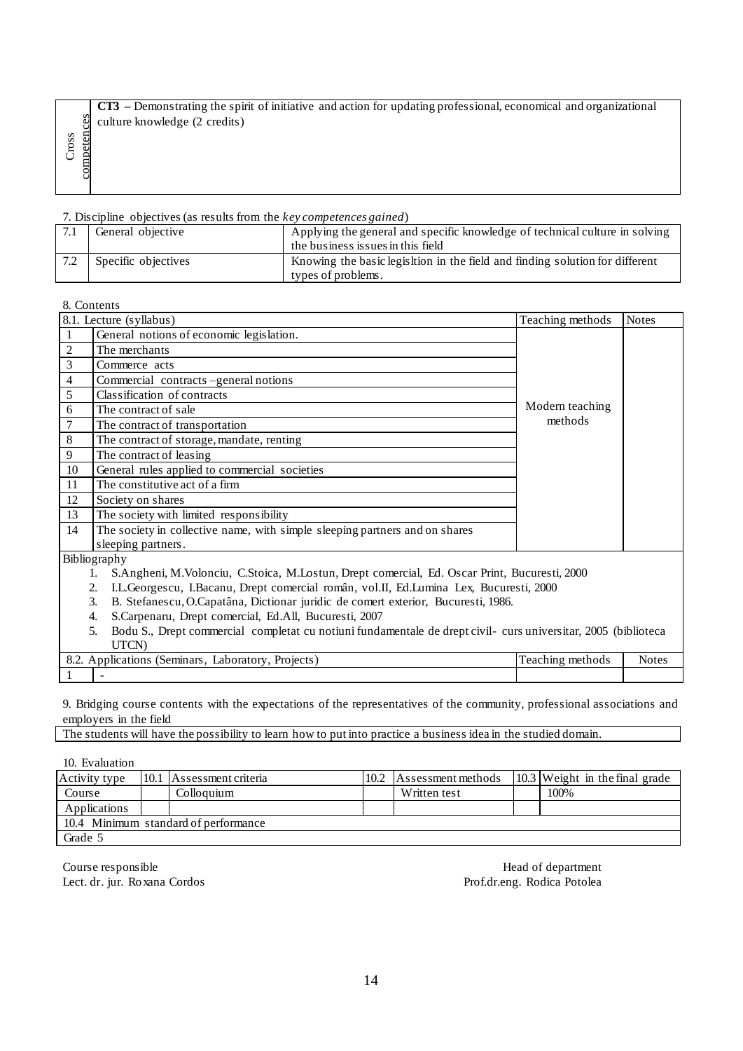**CT3 –** Demonstrating the spirit of initiative and action for updating professional, economical and organizational culture knowledge (2 credits)

|  |  |  |  | 7. Discipline objectives (as results from the key competences gained) |
|--|--|--|--|-----------------------------------------------------------------------|
|--|--|--|--|-----------------------------------------------------------------------|

|     | General objective   | Applying the general and specific knowledge of technical culture in solving<br>the business issues in this field |
|-----|---------------------|------------------------------------------------------------------------------------------------------------------|
| 7.2 | Specific objectives | Knowing the basic legistrion in the field and finding solution for different<br>types of problems.               |

| competences<br>Cross                                        |                         |      | culture knowledge (2 credits)                                               |                                   |      |                                                                                                                          |  |                                  |              |
|-------------------------------------------------------------|-------------------------|------|-----------------------------------------------------------------------------|-----------------------------------|------|--------------------------------------------------------------------------------------------------------------------------|--|----------------------------------|--------------|
|                                                             |                         |      | 7. Discipline objectives (as results from the key competences gained)       |                                   |      |                                                                                                                          |  |                                  |              |
| 7.1                                                         | General objective       |      |                                                                             | the business issues in this field |      | Applying the general and specific knowledge of technical culture in solving                                              |  |                                  |              |
| 7.2                                                         | Specific objectives     |      |                                                                             | types of problems.                |      | Knowing the basic legisltion in the field and finding solution for different                                             |  |                                  |              |
|                                                             | 8. Contents             |      |                                                                             |                                   |      |                                                                                                                          |  |                                  |              |
|                                                             | 8.1. Lecture (syllabus) |      |                                                                             |                                   |      |                                                                                                                          |  | Teaching methods                 | <b>Notes</b> |
| $\mathbf{1}$                                                |                         |      | General notions of economic legislation.                                    |                                   |      |                                                                                                                          |  |                                  |              |
| $\overline{c}$                                              | The merchants           |      |                                                                             |                                   |      |                                                                                                                          |  |                                  |              |
| 3                                                           | Commerce acts           |      |                                                                             |                                   |      |                                                                                                                          |  |                                  |              |
| $\overline{4}$                                              |                         |      | Commercial contracts -general notions                                       |                                   |      |                                                                                                                          |  |                                  |              |
| 5                                                           |                         |      | Classification of contracts                                                 |                                   |      |                                                                                                                          |  |                                  |              |
| 6                                                           | The contract of sale    |      |                                                                             |                                   |      |                                                                                                                          |  | Modern teaching                  |              |
| 7                                                           |                         |      | The contract of transportation                                              |                                   |      |                                                                                                                          |  | methods                          |              |
| 8                                                           |                         |      | The contract of storage, mandate, renting                                   |                                   |      |                                                                                                                          |  |                                  |              |
| 9                                                           | The contract of leasing |      |                                                                             |                                   |      |                                                                                                                          |  |                                  |              |
| 10                                                          |                         |      | General rules applied to commercial societies                               |                                   |      |                                                                                                                          |  |                                  |              |
| 11                                                          |                         |      | The constitutive act of a firm                                              |                                   |      |                                                                                                                          |  |                                  |              |
| 12                                                          | Society on shares       |      |                                                                             |                                   |      |                                                                                                                          |  |                                  |              |
| 13                                                          |                         |      | The society with limited responsibility                                     |                                   |      |                                                                                                                          |  |                                  |              |
| 14                                                          |                         |      | The society in collective name, with simple sleeping partners and on shares |                                   |      |                                                                                                                          |  |                                  |              |
|                                                             | sleeping partners.      |      |                                                                             |                                   |      |                                                                                                                          |  |                                  |              |
|                                                             | Bibliography            |      |                                                                             |                                   |      |                                                                                                                          |  |                                  |              |
|                                                             | 1.                      |      |                                                                             |                                   |      | S.Angheni, M.Volonciu, C.Stoica, M.Lostun, Drept comercial, Ed. Oscar Print, Bucuresti, 2000                             |  |                                  |              |
|                                                             | 2.                      |      |                                                                             |                                   |      | I.L.Georgescu, I.Bacanu, Drept comercial român, vol.II, Ed.Lumina Lex, Bucuresti, 2000                                   |  |                                  |              |
|                                                             | 3.                      |      |                                                                             |                                   |      | B. Stefanescu, O.Capatâna, Dictionar juridic de comert exterior, Bucuresti, 1986.                                        |  |                                  |              |
|                                                             | 4.                      |      | S.Carpenaru, Drept comercial, Ed.All, Bucuresti, 2007                       |                                   |      |                                                                                                                          |  |                                  |              |
|                                                             | 5.                      |      |                                                                             |                                   |      | Bodu S., Drept commercial completat cu notiuni fundamentale de drept civil- curs universitar, 2005 (biblioteca           |  |                                  |              |
|                                                             | UTCN)                   |      |                                                                             |                                   |      |                                                                                                                          |  |                                  |              |
|                                                             |                         |      | 8.2. Applications (Seminars, Laboratory, Projects)                          |                                   |      |                                                                                                                          |  | Teaching methods                 | <b>Notes</b> |
|                                                             |                         |      |                                                                             |                                   |      |                                                                                                                          |  |                                  |              |
|                                                             |                         |      |                                                                             |                                   |      |                                                                                                                          |  |                                  |              |
|                                                             |                         |      |                                                                             |                                   |      | 9. Bridging course contents with the expectations of the representatives of the community, professional associations and |  |                                  |              |
|                                                             | employers in the field  |      |                                                                             |                                   |      | The students will have the possibility to learn how to put into practice a business idea in the studied domain.          |  |                                  |              |
|                                                             |                         |      |                                                                             |                                   |      |                                                                                                                          |  |                                  |              |
|                                                             | 10. Evaluation          |      |                                                                             |                                   |      |                                                                                                                          |  |                                  |              |
|                                                             | Activity type           | 10.1 | Assessment criteria                                                         |                                   | 10.2 | Assessment methods                                                                                                       |  | $10.3$ Weight in the final grade |              |
| Course                                                      |                         |      | Colloquium                                                                  |                                   |      | Written test                                                                                                             |  | 100%                             |              |
|                                                             | Applications            |      |                                                                             |                                   |      |                                                                                                                          |  |                                  |              |
|                                                             |                         |      | 10.4 Minimum standard of performance                                        |                                   |      |                                                                                                                          |  |                                  |              |
| Grade 5                                                     |                         |      |                                                                             |                                   |      |                                                                                                                          |  |                                  |              |
|                                                             |                         |      |                                                                             |                                   |      |                                                                                                                          |  |                                  |              |
|                                                             | Course responsible      |      |                                                                             |                                   |      |                                                                                                                          |  | Head of department               |              |
| Lect. dr. jur. Roxana Cordos<br>Prof.dr.eng. Rodica Potolea |                         |      |                                                                             |                                   |      |                                                                                                                          |  |                                  |              |

| Activity type                        |  | 10.1 Assessment criteria | 10.2 | Assessment methods |  | $10.3$ Weight in the final grade |  |  |
|--------------------------------------|--|--------------------------|------|--------------------|--|----------------------------------|--|--|
| Course                               |  | Colloquium               |      | Written test       |  | 100%                             |  |  |
| Applications                         |  |                          |      |                    |  |                                  |  |  |
| 10.4 Minimum standard of performance |  |                          |      |                    |  |                                  |  |  |
| Grade 5                              |  |                          |      |                    |  |                                  |  |  |

Course responsible Head of department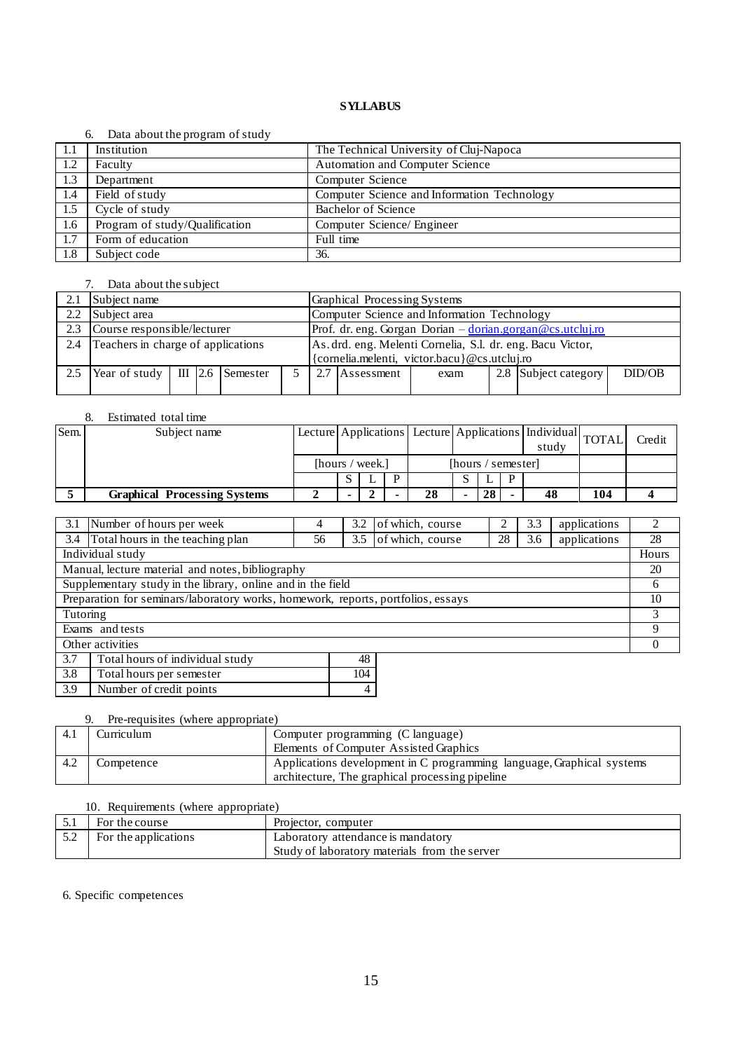#### 6. Data about the program of study

|      | $\alpha$ . Data about the program of state, |                                             |
|------|---------------------------------------------|---------------------------------------------|
| -1.1 | Institution                                 | The Technical University of Cluj-Napoca     |
| 1.2  | Faculty                                     | <b>Automation and Computer Science</b>      |
| 1.3  | Department                                  | Computer Science                            |
| 1.4  | Field of study                              | Computer Science and Information Technology |
| 1.5  | $\overline{\text{Cycle}}$ of study          | Bachelor of Science                         |
| 1.6  | Program of study/Qualification              | Computer Science/ Engineer                  |
| 1.7  | Form of education                           | Full time                                   |
| 1.8  | Subject code                                | 36.                                         |

# 7. Data about the subject

| 2.1           | Subject name                               |  |  |  |  | Graphical Processing Systems                                                             |            |                                              |  |                      |        |  |  |
|---------------|--------------------------------------------|--|--|--|--|------------------------------------------------------------------------------------------|------------|----------------------------------------------|--|----------------------|--------|--|--|
| $2.2^{\circ}$ | Subject area                               |  |  |  |  | Computer Science and Information Technology                                              |            |                                              |  |                      |        |  |  |
| 2.3           | Course responsible/lecturer                |  |  |  |  | Prof. dr. eng. Gorgan Dorian $-\frac{\text{dorian.gorgan}\,\textcircled{ecs.}utcluiiro}$ |            |                                              |  |                      |        |  |  |
| 2.4           | Teachers in charge of applications         |  |  |  |  | As. drd. eng. Melenti Cornelia, S.l. dr. eng. Bacu Victor,                               |            |                                              |  |                      |        |  |  |
|               |                                            |  |  |  |  |                                                                                          |            | {cornelia.melenti, victor.bacu}@cs.utcluj.ro |  |                      |        |  |  |
| 2.5           | Year of study $\parallel$ III 2.6 Semester |  |  |  |  | 2.7                                                                                      | Assessment | exam                                         |  | 2.8 Subject category | DID/OB |  |  |
|               |                                            |  |  |  |  |                                                                                          |            |                                              |  |                      |        |  |  |

# 8. Estimated total time

| Sem. | Subject name                        |                 |  |                    |    | Lecture Applications Lecture Applications   Individual   TOTAL |    | study |    | Credit |  |
|------|-------------------------------------|-----------------|--|--------------------|----|----------------------------------------------------------------|----|-------|----|--------|--|
|      |                                     | [hours / week.] |  | [hours / semester] |    |                                                                |    |       |    |        |  |
|      |                                     |                 |  |                    |    |                                                                |    | D     |    |        |  |
|      | <b>Graphical Processing Systems</b> |                 |  |                    | 28 |                                                                | 28 |       | 48 | 104    |  |

| 3.1                                              | Number of hours per week                                                         | 4  | 3.2 | of which, course | 2  | 3.3 | applications | 2        |
|--------------------------------------------------|----------------------------------------------------------------------------------|----|-----|------------------|----|-----|--------------|----------|
| 3.4                                              | Total hours in the teaching plan                                                 | 56 | 3.5 | of which, course | 28 | 3.6 | applications | 28       |
|                                                  | Individual study                                                                 |    |     |                  |    |     |              | Hours    |
| Manual, lecture material and notes, bibliography |                                                                                  |    |     |                  |    |     |              | 20       |
|                                                  | Supplementary study in the library, online and in the field                      |    |     |                  |    |     |              | 6        |
|                                                  | Preparation for seminars/laboratory works, homework, reports, portfolios, essays |    |     |                  |    |     |              | 10       |
| Tutoring                                         |                                                                                  |    |     |                  |    |     |              | 3        |
|                                                  | Exams and tests                                                                  |    |     |                  |    |     |              | 9        |
|                                                  | Other activities                                                                 |    |     |                  |    |     |              | $\theta$ |
| 3.7                                              | Total hours of individual study                                                  |    | 48  |                  |    |     |              |          |
| 3.8                                              | Total hours per semester                                                         |    | 104 |                  |    |     |              |          |
| 3.9<br>Number of credit points<br>4              |                                                                                  |    |     |                  |    |     |              |          |

#### 9. Pre-requisites (where appropriate)

| -4. i | Curriculum | Computer programming (C language)<br>Elements of Computer Assisted Graphics                                              |
|-------|------------|--------------------------------------------------------------------------------------------------------------------------|
| -4.2  | Competence | Applications development in C programming language, Graphical systems<br>architecture, The graphical processing pipeline |

#### 10. Requirements (where appropriate)

| For the course       | Projector, computer                           |
|----------------------|-----------------------------------------------|
| For the applications | Laboratory attendance is mandatory            |
|                      | Study of laboratory materials from the server |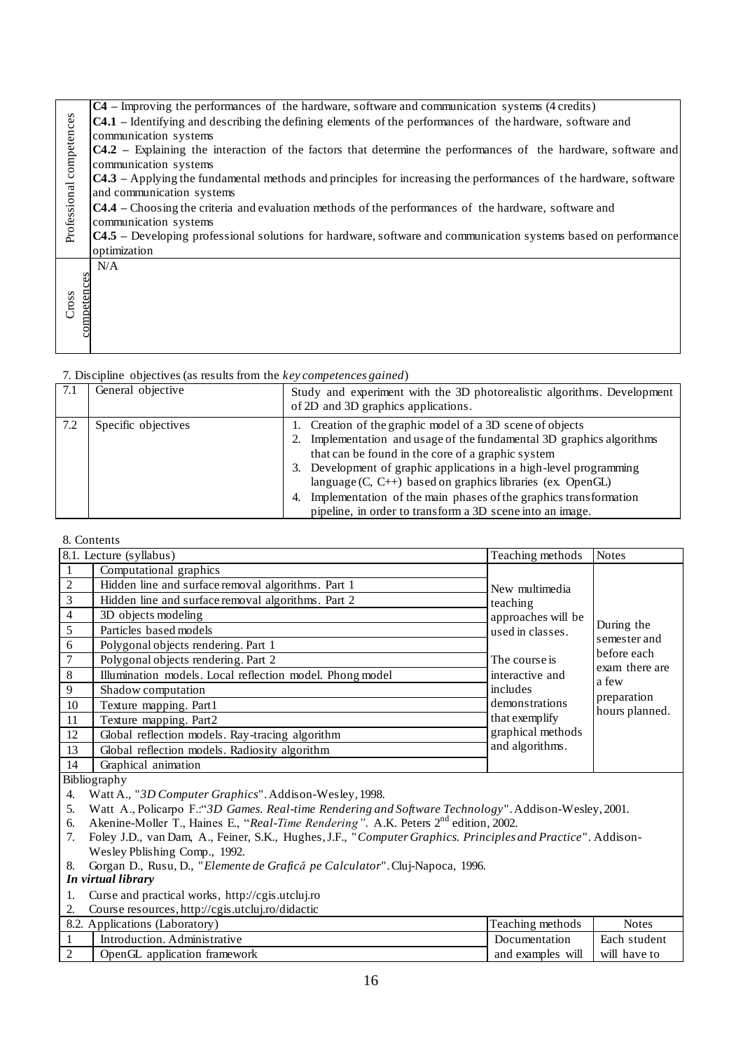| Professional competences<br>Cross | C4 – Improving the performances of the hardware, software and communication systems (4 credits)<br>C4.1 – Identifying and describing the defining elements of the performances of the hardware, software and<br>communication systems<br>C4.2 - Explaining the interaction of the factors that determine the performances of the hardware, software and<br>communication systems<br>C4.3 - Applying the fundamental methods and principles for increasing the performances of the hardware, software<br>and communication systems<br>C4.4 - Choosing the criteria and evaluation methods of the performances of the hardware, software and<br>communication systems<br>C4.5 – Developing professional solutions for hardware, software and communication systems based on performance<br>optimization<br>N/A<br>competences |                                                                                                                                                                                                                                                                                                                                                                                                                                                                 |                                                                     |                |  |  |  |
|-----------------------------------|-----------------------------------------------------------------------------------------------------------------------------------------------------------------------------------------------------------------------------------------------------------------------------------------------------------------------------------------------------------------------------------------------------------------------------------------------------------------------------------------------------------------------------------------------------------------------------------------------------------------------------------------------------------------------------------------------------------------------------------------------------------------------------------------------------------------------------|-----------------------------------------------------------------------------------------------------------------------------------------------------------------------------------------------------------------------------------------------------------------------------------------------------------------------------------------------------------------------------------------------------------------------------------------------------------------|---------------------------------------------------------------------|----------------|--|--|--|
|                                   | 7. Discipline objectives (as results from the key competences gained)                                                                                                                                                                                                                                                                                                                                                                                                                                                                                                                                                                                                                                                                                                                                                       |                                                                                                                                                                                                                                                                                                                                                                                                                                                                 |                                                                     |                |  |  |  |
| 7.1                               | General objective                                                                                                                                                                                                                                                                                                                                                                                                                                                                                                                                                                                                                                                                                                                                                                                                           | Study and experiment with the 3D photorealistic algorithms. Development<br>of 2D and 3D graphics applications.                                                                                                                                                                                                                                                                                                                                                  |                                                                     |                |  |  |  |
| 7.2                               | Specific objectives                                                                                                                                                                                                                                                                                                                                                                                                                                                                                                                                                                                                                                                                                                                                                                                                         | 1. Creation of the graphic model of a 3D scene of objects<br>2. Implementation and usage of the fundamental 3D graphics algorithms<br>that can be found in the core of a graphic system<br>3. Development of graphic applications in a high-level programming<br>language (C, C++) based on graphics libraries (ex. OpenGL)<br>4. Implementation of the main phases of the graphics transformation<br>pipeline, in order to transform a 3D scene into an image. |                                                                     |                |  |  |  |
|                                   |                                                                                                                                                                                                                                                                                                                                                                                                                                                                                                                                                                                                                                                                                                                                                                                                                             |                                                                                                                                                                                                                                                                                                                                                                                                                                                                 |                                                                     |                |  |  |  |
|                                   | 8. Contents<br>8.1. Lecture (syllabus)                                                                                                                                                                                                                                                                                                                                                                                                                                                                                                                                                                                                                                                                                                                                                                                      |                                                                                                                                                                                                                                                                                                                                                                                                                                                                 | Teaching methods                                                    | <b>Notes</b>   |  |  |  |
| $\mathbf{1}$                      | Computational graphics                                                                                                                                                                                                                                                                                                                                                                                                                                                                                                                                                                                                                                                                                                                                                                                                      |                                                                                                                                                                                                                                                                                                                                                                                                                                                                 |                                                                     |                |  |  |  |
| $\overline{c}$                    | Hidden line and surface removal algorithms. Part 1                                                                                                                                                                                                                                                                                                                                                                                                                                                                                                                                                                                                                                                                                                                                                                          |                                                                                                                                                                                                                                                                                                                                                                                                                                                                 | New multimedia                                                      |                |  |  |  |
| 3                                 | Hidden line and surface removal algorithms. Part 2                                                                                                                                                                                                                                                                                                                                                                                                                                                                                                                                                                                                                                                                                                                                                                          |                                                                                                                                                                                                                                                                                                                                                                                                                                                                 | teaching                                                            |                |  |  |  |
| 4                                 | 3D objects modeling                                                                                                                                                                                                                                                                                                                                                                                                                                                                                                                                                                                                                                                                                                                                                                                                         |                                                                                                                                                                                                                                                                                                                                                                                                                                                                 | approaches will be                                                  | During the     |  |  |  |
| 5                                 | Particles based models                                                                                                                                                                                                                                                                                                                                                                                                                                                                                                                                                                                                                                                                                                                                                                                                      |                                                                                                                                                                                                                                                                                                                                                                                                                                                                 | used in classes.                                                    | semester and   |  |  |  |
| 6                                 | Polygonal objects rendering. Part 1                                                                                                                                                                                                                                                                                                                                                                                                                                                                                                                                                                                                                                                                                                                                                                                         |                                                                                                                                                                                                                                                                                                                                                                                                                                                                 |                                                                     | before each    |  |  |  |
| 7<br>$8\,$                        | Polygonal objects rendering. Part 2<br>Illumination models. Local reflection model. Phong model                                                                                                                                                                                                                                                                                                                                                                                                                                                                                                                                                                                                                                                                                                                             |                                                                                                                                                                                                                                                                                                                                                                                                                                                                 | The course is $% \left\vert \cdot \right\rangle$<br>interactive and | exam there are |  |  |  |
| 9                                 | Shadow computation                                                                                                                                                                                                                                                                                                                                                                                                                                                                                                                                                                                                                                                                                                                                                                                                          |                                                                                                                                                                                                                                                                                                                                                                                                                                                                 | includes                                                            | a few          |  |  |  |
| 10                                | Texture mapping. Part1                                                                                                                                                                                                                                                                                                                                                                                                                                                                                                                                                                                                                                                                                                                                                                                                      |                                                                                                                                                                                                                                                                                                                                                                                                                                                                 | demonstrations                                                      | preparation    |  |  |  |
| 11                                | Texture mapping. Part2                                                                                                                                                                                                                                                                                                                                                                                                                                                                                                                                                                                                                                                                                                                                                                                                      |                                                                                                                                                                                                                                                                                                                                                                                                                                                                 | that exemplify                                                      | hours planned. |  |  |  |
| 12                                | Global reflection models. Ray-tracing algorithm                                                                                                                                                                                                                                                                                                                                                                                                                                                                                                                                                                                                                                                                                                                                                                             |                                                                                                                                                                                                                                                                                                                                                                                                                                                                 | graphical methods                                                   |                |  |  |  |
| 13                                | Global reflection models. Radiosity algorithm                                                                                                                                                                                                                                                                                                                                                                                                                                                                                                                                                                                                                                                                                                                                                                               |                                                                                                                                                                                                                                                                                                                                                                                                                                                                 | and algorithms.                                                     |                |  |  |  |
| 14                                | Graphical animation                                                                                                                                                                                                                                                                                                                                                                                                                                                                                                                                                                                                                                                                                                                                                                                                         |                                                                                                                                                                                                                                                                                                                                                                                                                                                                 |                                                                     |                |  |  |  |
|                                   | Bibliography                                                                                                                                                                                                                                                                                                                                                                                                                                                                                                                                                                                                                                                                                                                                                                                                                |                                                                                                                                                                                                                                                                                                                                                                                                                                                                 |                                                                     |                |  |  |  |
| 5.<br>6.<br>7.<br>8.<br>1.<br>2.  | Watt A., "3D Computer Graphics". Addison-Wesley, 1998.<br>4.<br>Watt A., Policarpo F.: "3D Games. Real-time Rendering and Software Technology". Addison-Wesley, 2001.<br>Akenine-Moller T., Haines E., "Real-Time Rendering". A.K. Peters 2 <sup>nd</sup> edition, 2002.<br>Foley J.D., van Dam, A., Feiner, S.K., Hughes, J.F., "Computer Graphics. Principles and Practice". Addison-<br>Wesley Pblishing Comp., 1992.<br>Gorgan D., Rusu, D., "Elemente de Grafică pe Calculator". Cluj-Napoca, 1996.<br>In virtual library<br>Curse and practical works, http://cgis.utcluj.ro<br>Course resources, http://cgis.utcluj.ro/didactic                                                                                                                                                                                      |                                                                                                                                                                                                                                                                                                                                                                                                                                                                 |                                                                     |                |  |  |  |
|                                   | 8.2. Applications (Laboratory)                                                                                                                                                                                                                                                                                                                                                                                                                                                                                                                                                                                                                                                                                                                                                                                              |                                                                                                                                                                                                                                                                                                                                                                                                                                                                 | Teaching methods                                                    | <b>Notes</b>   |  |  |  |
| 1                                 | Introduction. Administrative                                                                                                                                                                                                                                                                                                                                                                                                                                                                                                                                                                                                                                                                                                                                                                                                |                                                                                                                                                                                                                                                                                                                                                                                                                                                                 | Documentation                                                       | Each student   |  |  |  |
| $\sqrt{2}$                        | OpenGL application framework                                                                                                                                                                                                                                                                                                                                                                                                                                                                                                                                                                                                                                                                                                                                                                                                |                                                                                                                                                                                                                                                                                                                                                                                                                                                                 | and examples will                                                   | will have to   |  |  |  |

| 7.1 | General objective   | Study and experiment with the 3D photorealistic algorithms. Development<br>of 2D and 3D graphics applications.                                                                                                                                                                                                                                                                                                                                                 |
|-----|---------------------|----------------------------------------------------------------------------------------------------------------------------------------------------------------------------------------------------------------------------------------------------------------------------------------------------------------------------------------------------------------------------------------------------------------------------------------------------------------|
| 7.2 | Specific objectives | Creation of the graphic model of a 3D scene of objects<br>Implementation and usage of the fundamental 3D graphics algorithms<br>that can be found in the core of a graphic system<br>3. Development of graphic applications in a high-level programming<br>language $(C, C++)$ based on graphics libraries (ex. OpenGL)<br>Implementation of the main phases of the graphics transformation<br>4.<br>pipeline, in order to transform a 3D scene into an image. |

#### 8. Contents

|                | 8.1. Lecture (syllabus)                                  | Teaching methods                 | <b>Notes</b>                                                         |  |  |
|----------------|----------------------------------------------------------|----------------------------------|----------------------------------------------------------------------|--|--|
|                | Computational graphics                                   |                                  |                                                                      |  |  |
| 2              | Hidden line and surface removal algorithms. Part 1       | New multimedia                   |                                                                      |  |  |
| $\overline{3}$ | Hidden line and surface removal algorithms. Part 2       | teaching                         |                                                                      |  |  |
| $\overline{4}$ | 3D objects modeling                                      | approaches will be               |                                                                      |  |  |
| 5              | Particles based models                                   | used in classes.                 | During the<br>semester and<br>before each<br>exam there are<br>a few |  |  |
| 6              | Polygonal objects rendering. Part 1                      | The course is<br>interactive and |                                                                      |  |  |
| $\tau$         | Polygonal objects rendering. Part 2                      |                                  |                                                                      |  |  |
| $\,8\,$        | Illumination models. Local reflection model. Phong model |                                  |                                                                      |  |  |
| 9              | Shadow computation                                       | includes                         | preparation                                                          |  |  |
| 10             | Texture mapping. Part1                                   | demonstrations                   | hours planned.                                                       |  |  |
| 11             | Texture mapping. Part2                                   | that exemplify                   |                                                                      |  |  |
| 12             | Global reflection models. Ray-tracing algorithm          | graphical methods                |                                                                      |  |  |
| 13             | Global reflection models. Radiosity algorithm            | and algorithms.                  |                                                                      |  |  |
| 14             | Graphical animation                                      |                                  |                                                                      |  |  |

- 4. Watt A., "*3D Computer Graphics*". Addison-Wesley, 1998.
- 5. Watt A., Policarpo F.:"*3D Games. Real-time Rendering and Software Technology*". Addison-Wesley, 2001.
- 6. Akenine-Moller T., Haines E., "*Real-Time Rendering"*. A.K. Peters 2nd edition, 2002.
- 7. Foley J.D., van Dam, A., Feiner, S.K., Hughes, J.F., "*Computer Graphics. Principles and Practice*". Addison-Wesley Pblishing Comp., 1992.
- 8. Gorgan D., Rusu, D., "*Elemente de Grafică pe Calculator*". Cluj-Napoca, 1996.

- 1. Curse and practical works, http://cgis.utcluj.ro
- 2. Course resources, http://cgis.utcluj.ro/didactic

|   | 8.2. Applications (Laboratory) | Teaching methods  | <b>Notes</b> |
|---|--------------------------------|-------------------|--------------|
|   | Introduction. Administrative   | Documentation     | Each student |
| - | OpenGL application framework   | and examples will | will have to |